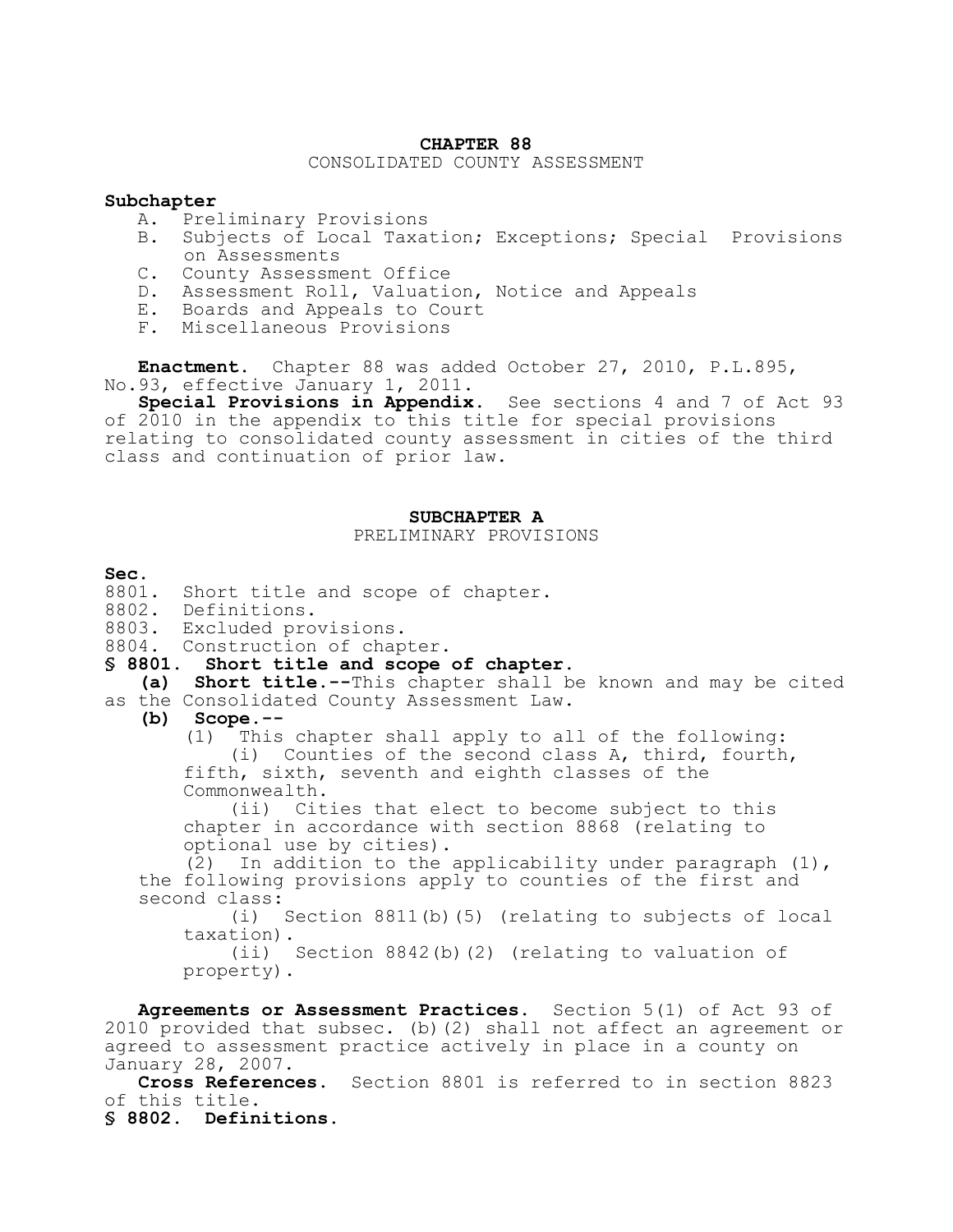#### **CHAPTER 88**

### CONSOLIDATED COUNTY ASSESSMENT

#### **Subchapter**

- A. Preliminary Provisions
- B. Subjects of Local Taxation; Exceptions; Special Provisions on Assessments
- C. County Assessment Office
- D. Assessment Roll, Valuation, Notice and Appeals
- E. Boards and Appeals to Court
- F. Miscellaneous Provisions

**Enactment.** Chapter 88 was added October 27, 2010, P.L.895, No.93, effective January 1, 2011.

**Special Provisions in Appendix.** See sections 4 and 7 of Act 93 of 2010 in the appendix to this title for special provisions relating to consolidated county assessment in cities of the third class and continuation of prior law.

#### **SUBCHAPTER A**

PRELIMINARY PROVISIONS

#### **Sec.**

8801. Short title and scope of chapter.

- 8802. Definitions.
- 8803. Excluded provisions.
- 8804. Construction of chapter.

#### **§ 8801. Short title and scope of chapter.**

- **(a) Short title.--**This chapter shall be known and may be cited as the Consolidated County Assessment Law.
	- **(b) Scope.--**

(1) This chapter shall apply to all of the following: (i) Counties of the second class A, third, fourth, fifth, sixth, seventh and eighth classes of the Commonwealth.

(ii) Cities that elect to become subject to this chapter in accordance with section 8868 (relating to optional use by cities).

(2) In addition to the applicability under paragraph  $(1)$ , the following provisions apply to counties of the first and second class:<br>(i)

Section  $8811(b)$ (5) (relating to subjects of local taxation).

(ii) Section 8842(b)(2) (relating to valuation of property).

**Agreements or Assessment Practices.** Section 5(1) of Act 93 of 2010 provided that subsec. (b)(2) shall not affect an agreement or agreed to assessment practice actively in place in a county on January 28, 2007.

**Cross References.** Section 8801 is referred to in section 8823 of this title.

**§ 8802. Definitions.**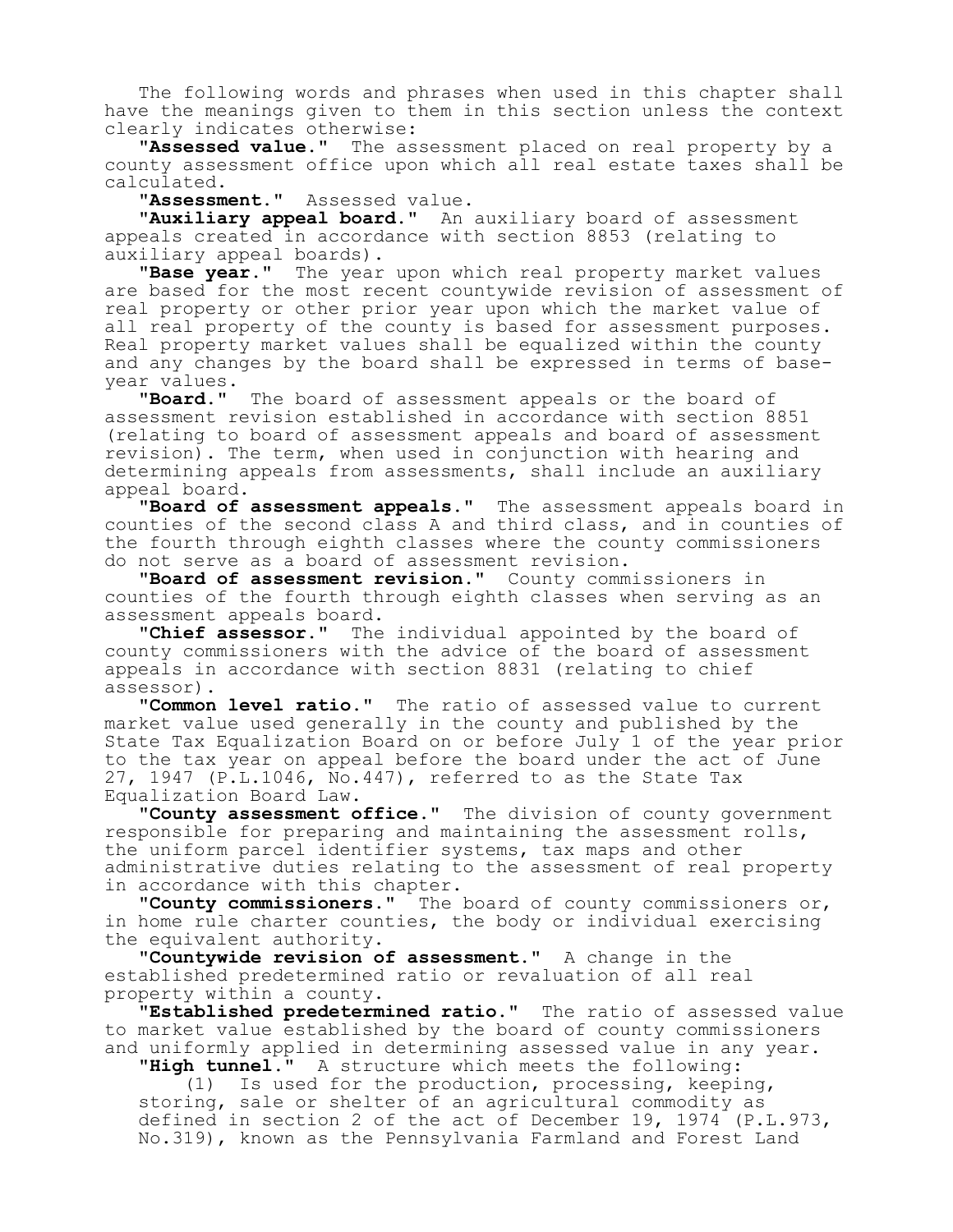The following words and phrases when used in this chapter shall have the meanings given to them in this section unless the context clearly indicates otherwise:

**"Assessed value."** The assessment placed on real property by a county assessment office upon which all real estate taxes shall be calculated.

**"Assessment."** Assessed value.

**"Auxiliary appeal board."** An auxiliary board of assessment appeals created in accordance with section 8853 (relating to auxiliary appeal boards).

**"Base year."** The year upon which real property market values are based for the most recent countywide revision of assessment of real property or other prior year upon which the market value of all real property of the county is based for assessment purposes. Real property market values shall be equalized within the county and any changes by the board shall be expressed in terms of baseyear values.

**"Board."** The board of assessment appeals or the board of assessment revision established in accordance with section 8851 (relating to board of assessment appeals and board of assessment revision). The term, when used in conjunction with hearing and determining appeals from assessments, shall include an auxiliary appeal board.

**"Board of assessment appeals."** The assessment appeals board in counties of the second class A and third class, and in counties of the fourth through eighth classes where the county commissioners do not serve as a board of assessment revision.

**"Board of assessment revision."** County commissioners in counties of the fourth through eighth classes when serving as an assessment appeals board.

**"Chief assessor."** The individual appointed by the board of county commissioners with the advice of the board of assessment appeals in accordance with section 8831 (relating to chief assessor).

**"Common level ratio."** The ratio of assessed value to current market value used generally in the county and published by the State Tax Equalization Board on or before July 1 of the year prior to the tax year on appeal before the board under the act of June 27, 1947 (P.L.1046, No.447), referred to as the State Tax Equalization Board Law.

**"County assessment office."** The division of county government responsible for preparing and maintaining the assessment rolls, the uniform parcel identifier systems, tax maps and other administrative duties relating to the assessment of real property in accordance with this chapter.

**"County commissioners."** The board of county commissioners or, in home rule charter counties, the body or individual exercising the equivalent authority.

**"Countywide revision of assessment."** A change in the established predetermined ratio or revaluation of all real property within a county.

**"Established predetermined ratio."** The ratio of assessed value to market value established by the board of county commissioners and uniformly applied in determining assessed value in any year.

**"High tunnel."** A structure which meets the following: (1) Is used for the production, processing, keeping, storing, sale or shelter of an agricultural commodity as

defined in section 2 of the act of December 19, 1974 (P.L.973, No.319), known as the Pennsylvania Farmland and Forest Land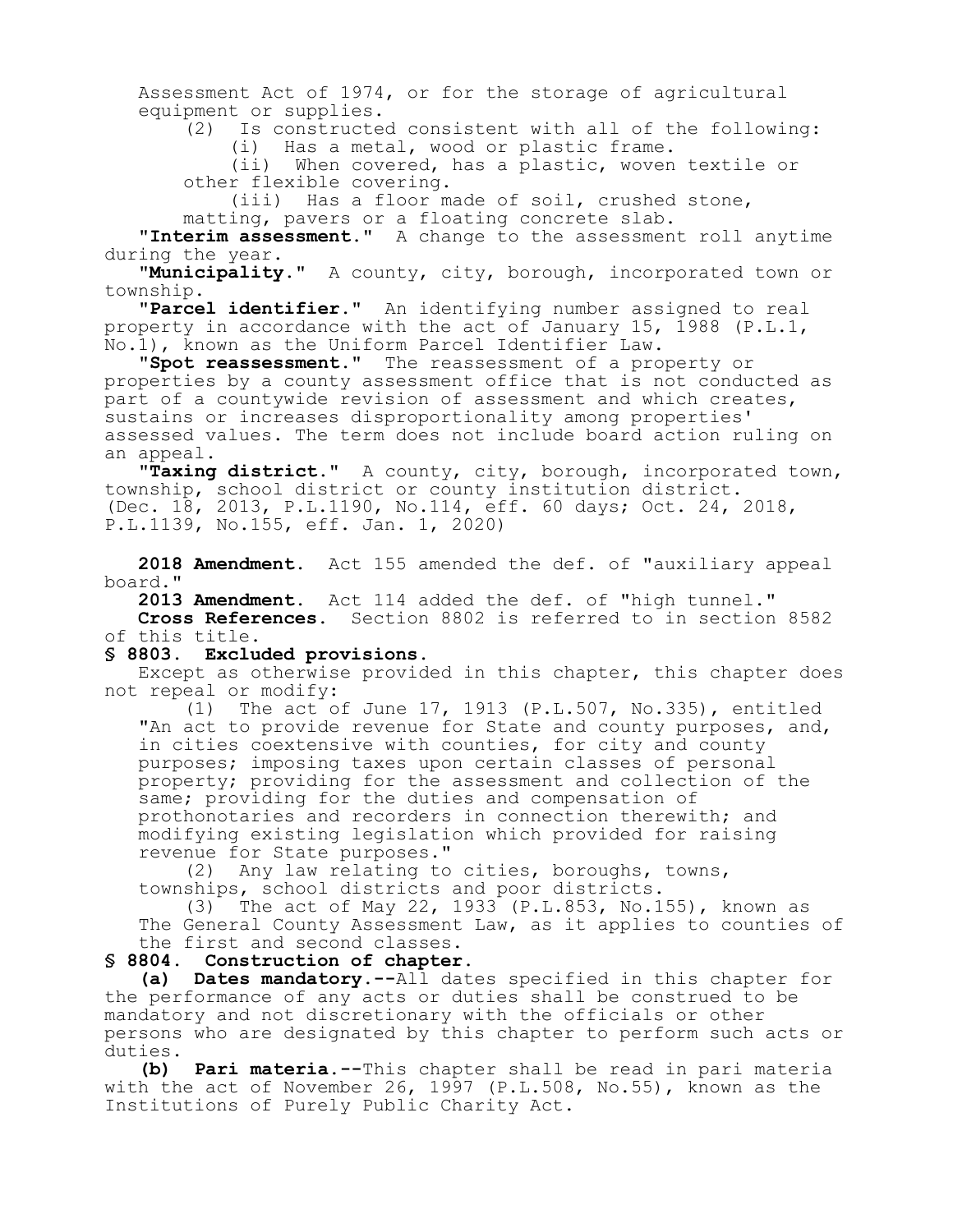Assessment Act of 1974, or for the storage of agricultural equipment or supplies.

 $(2)$  Is constructed consistent with all of the following:<br>(i) Has a metal, wood or plastic frame. Has a metal, wood or plastic frame.

(ii) When covered, has a plastic, woven textile or other flexible covering.

(iii) Has a floor made of soil, crushed stone, matting, pavers or a floating concrete slab.

**"Interim assessment."** A change to the assessment roll anytime during the year.

**"Municipality."** A county, city, borough, incorporated town or township.

**"Parcel identifier."** An identifying number assigned to real property in accordance with the act of January 15, 1988 (P.L.1, No.1), known as the Uniform Parcel Identifier Law.

**"Spot reassessment."** The reassessment of a property or properties by a county assessment office that is not conducted as part of a countywide revision of assessment and which creates, sustains or increases disproportionality among properties' assessed values. The term does not include board action ruling on an appeal.

**"Taxing district."** A county, city, borough, incorporated town, township, school district or county institution district. (Dec. 18, 2013, P.L.1190, No.114, eff. 60 days; Oct. 24, 2018, P.L.1139, No.155, eff. Jan. 1, 2020)

**2018 Amendment.** Act 155 amended the def. of "auxiliary appeal board."

**2013 Amendment.** Act 114 added the def. of "high tunnel." **Cross References.** Section 8802 is referred to in section 8582 of this title.

#### **§ 8803. Excluded provisions.**

Except as otherwise provided in this chapter, this chapter does not repeal or modify:

(1) The act of June 17, 1913 (P.L.507, No.335), entitled "An act to provide revenue for State and county purposes, and, in cities coextensive with counties, for city and county purposes; imposing taxes upon certain classes of personal property; providing for the assessment and collection of the same; providing for the duties and compensation of prothonotaries and recorders in connection therewith; and modifying existing legislation which provided for raising revenue for State purposes."

(2) Any law relating to cities, boroughs, towns, townships, school districts and poor districts.

(3) The act of May 22, 1933 (P.L.853, No.155), known as The General County Assessment Law, as it applies to counties of the first and second classes.

#### **§ 8804. Construction of chapter.**

**(a) Dates mandatory.--**All dates specified in this chapter for the performance of any acts or duties shall be construed to be mandatory and not discretionary with the officials or other persons who are designated by this chapter to perform such acts or duties.

**(b) Pari materia.--**This chapter shall be read in pari materia with the act of November 26, 1997 (P.L.508, No.55), known as the Institutions of Purely Public Charity Act.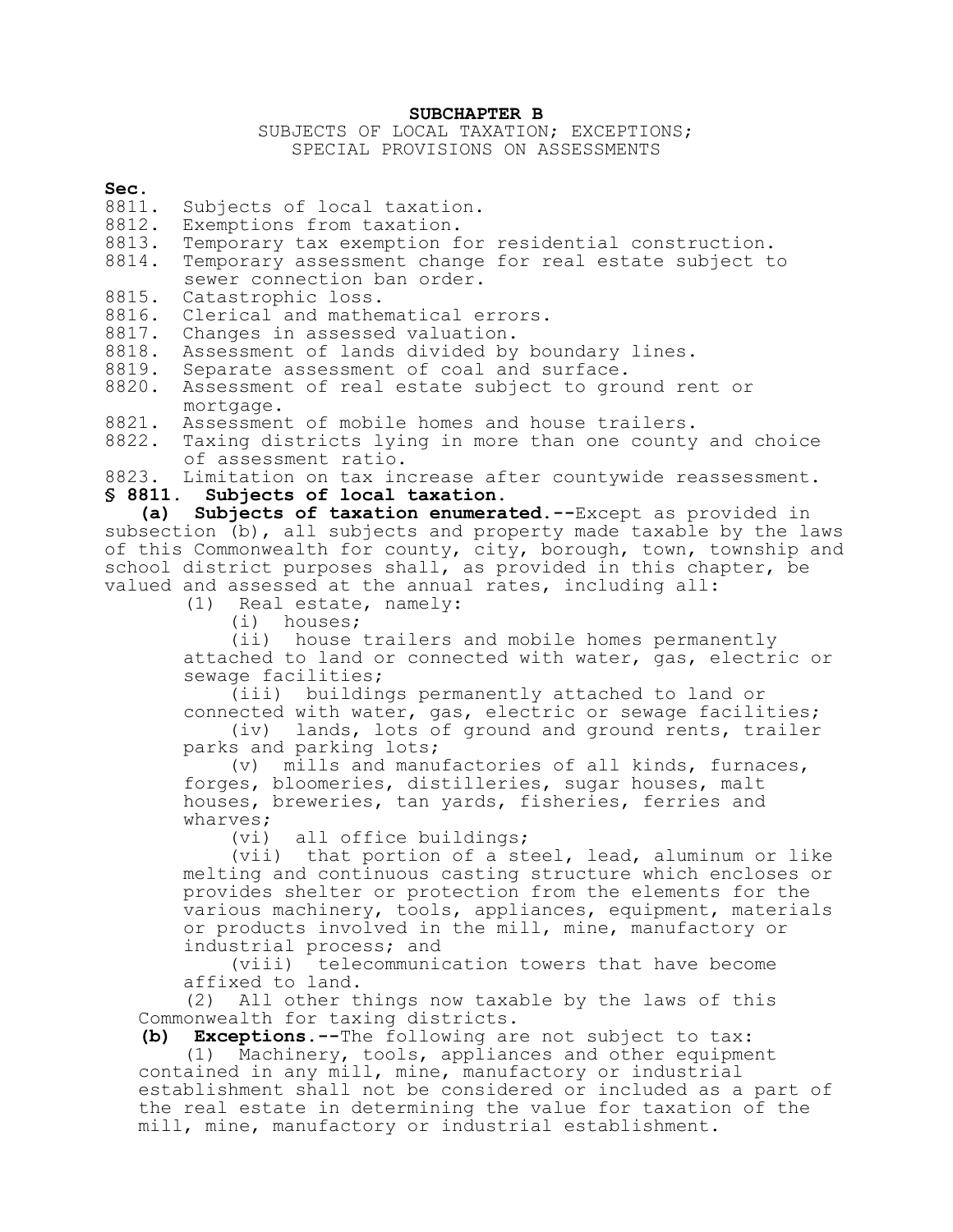#### **SUBCHAPTER B**

### SUBJECTS OF LOCAL TAXATION; EXCEPTIONS; SPECIAL PROVISIONS ON ASSESSMENTS

#### **Sec.**

- 8811. Subjects of local taxation.
- 8812. Exemptions from taxation.<br>8813. Temporary tax exemption f
- 8813. Temporary tax exemption for residential construction.<br>8814. Temporary assessment change for real estate subject t
- Temporary assessment change for real estate subject to sewer connection ban order.
- 8815. Catastrophic loss.
- 8816. Clerical and mathematical errors.
- 8817. Changes in assessed valuation.
- 8818. Assessment of lands divided by boundary lines.
- 8819. Separate assessment of coal and surface.
- 8820. Assessment of real estate subject to ground rent or mortgage.
- 8821. Assessment of mobile homes and house trailers.
- 8822. Taxing districts lying in more than one county and choice of assessment ratio.
- 8823. Limitation on tax increase after countywide reassessment.
- **§ 8811. Subjects of local taxation.**

**(a) Subjects of taxation enumerated.--**Except as provided in subsection (b), all subjects and property made taxable by the laws of this Commonwealth for county, city, borough, town, township and school district purposes shall, as provided in this chapter, be valued and assessed at the annual rates, including all:

(1) Real estate, namely:

(i) houses;

(ii) house trailers and mobile homes permanently attached to land or connected with water, gas, electric or sewage facilities;

(iii) buildings permanently attached to land or connected with water, gas, electric or sewage facilities;

(iv) lands, lots of ground and ground rents, trailer parks and parking lots;

(v) mills and manufactories of all kinds, furnaces, forges, bloomeries, distilleries, sugar houses, malt houses, breweries, tan yards, fisheries, ferries and wharves;

(vi) all office buildings;

(vii) that portion of a steel, lead, aluminum or like melting and continuous casting structure which encloses or provides shelter or protection from the elements for the various machinery, tools, appliances, equipment, materials or products involved in the mill, mine, manufactory or industrial process; and

(viii) telecommunication towers that have become affixed to land.

(2) All other things now taxable by the laws of this Commonwealth for taxing districts.

**(b) Exceptions.--**The following are not subject to tax:

(1) Machinery, tools, appliances and other equipment contained in any mill, mine, manufactory or industrial establishment shall not be considered or included as a part of the real estate in determining the value for taxation of the mill, mine, manufactory or industrial establishment.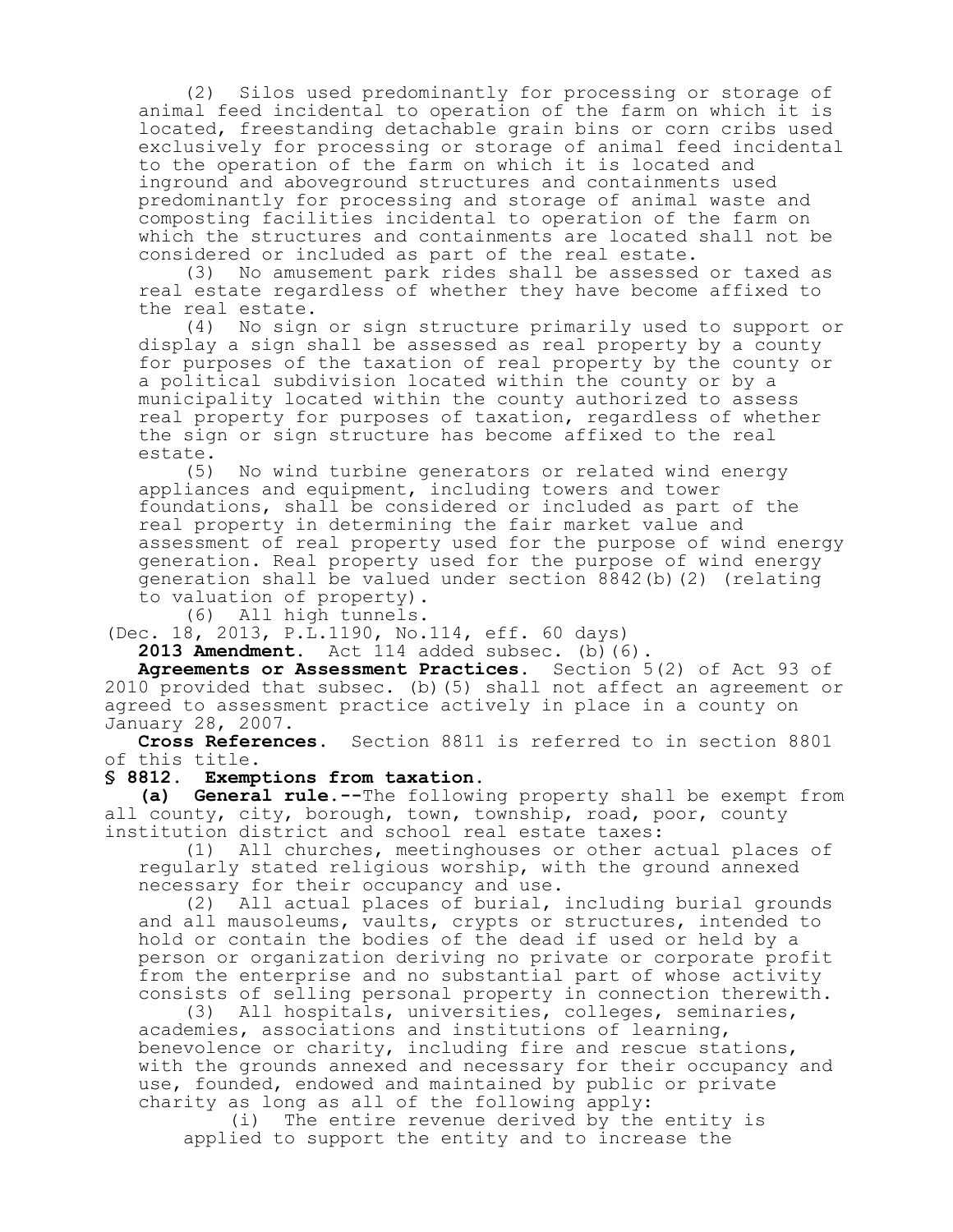(2) Silos used predominantly for processing or storage of animal feed incidental to operation of the farm on which it is located, freestanding detachable grain bins or corn cribs used exclusively for processing or storage of animal feed incidental to the operation of the farm on which it is located and inground and aboveground structures and containments used predominantly for processing and storage of animal waste and composting facilities incidental to operation of the farm on which the structures and containments are located shall not be considered or included as part of the real estate.

(3) No amusement park rides shall be assessed or taxed as real estate regardless of whether they have become affixed to the real estate.

(4) No sign or sign structure primarily used to support or display a sign shall be assessed as real property by a county for purposes of the taxation of real property by the county or a political subdivision located within the county or by a municipality located within the county authorized to assess real property for purposes of taxation, regardless of whether the sign or sign structure has become affixed to the real estate.<br>(5)

No wind turbine generators or related wind energy appliances and equipment, including towers and tower foundations, shall be considered or included as part of the real property in determining the fair market value and assessment of real property used for the purpose of wind energy generation. Real property used for the purpose of wind energy generation shall be valued under section 8842(b)(2) (relating to valuation of property).

(6) All high tunnels.

(Dec. 18, 2013, P.L.1190, No.114, eff. 60 days)

**2013 Amendment.** Act 114 added subsec. (b)(6).

**Agreements or Assessment Practices.** Section 5(2) of Act 93 of 2010 provided that subsec. (b)(5) shall not affect an agreement or agreed to assessment practice actively in place in a county on January 28, 2007.

**Cross References.** Section 8811 is referred to in section 8801 of this title.

#### **§ 8812. Exemptions from taxation.**

**(a) General rule.--**The following property shall be exempt from all county, city, borough, town, township, road, poor, county institution district and school real estate taxes:

(1) All churches, meetinghouses or other actual places of regularly stated religious worship, with the ground annexed necessary for their occupancy and use.

(2) All actual places of burial, including burial grounds and all mausoleums, vaults, crypts or structures, intended to hold or contain the bodies of the dead if used or held by a person or organization deriving no private or corporate profit from the enterprise and no substantial part of whose activity consists of selling personal property in connection therewith.<br>(3) All hospitals, universities, colleges, seminaries,

All hospitals, universities, colleges, seminaries, academies, associations and institutions of learning, benevolence or charity, including fire and rescue stations, with the grounds annexed and necessary for their occupancy and use, founded, endowed and maintained by public or private charity as long as all of the following apply:

(i) The entire revenue derived by the entity is applied to support the entity and to increase the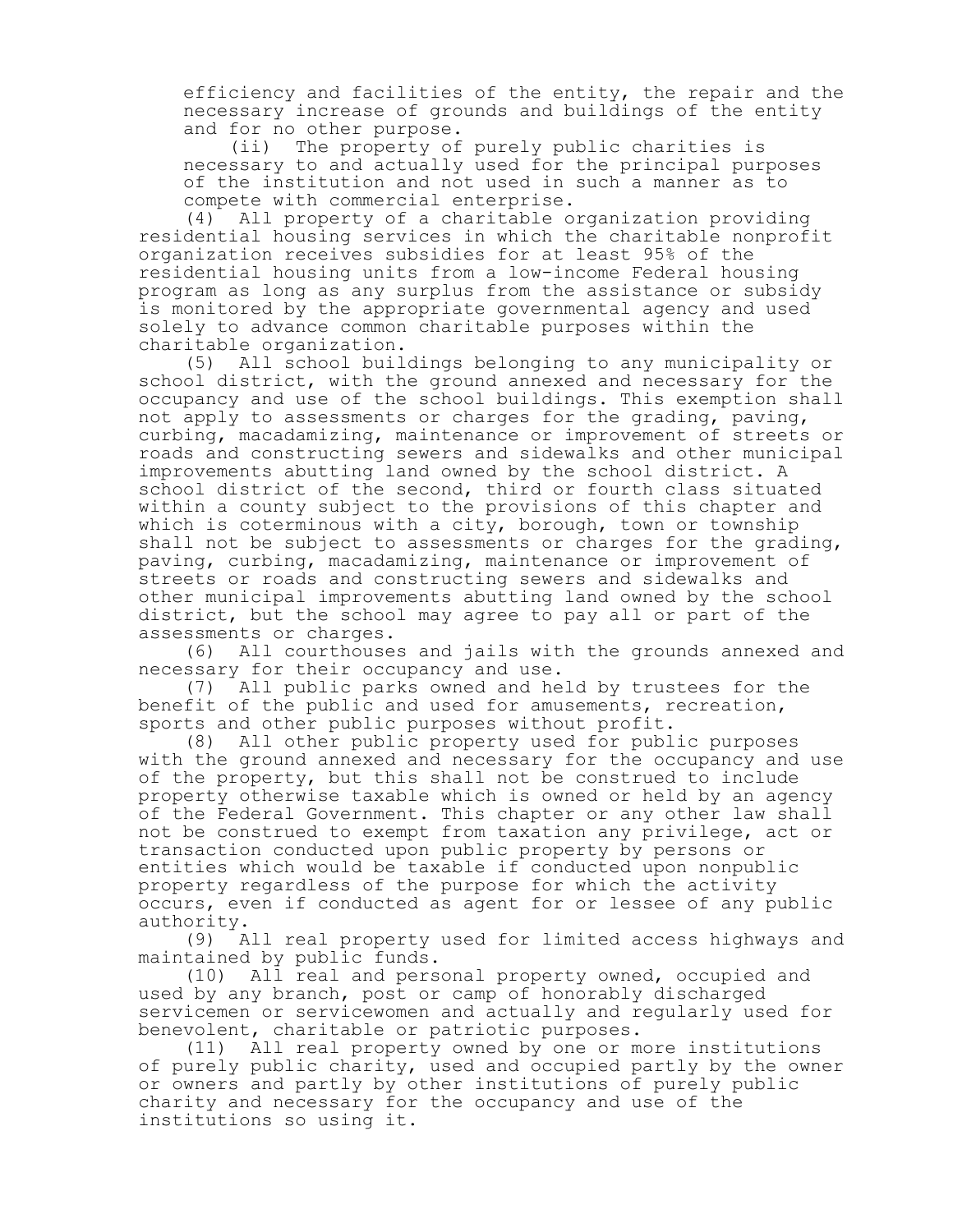efficiency and facilities of the entity, the repair and the necessary increase of grounds and buildings of the entity and for no other purpose.

(ii) The property of purely public charities is necessary to and actually used for the principal purposes of the institution and not used in such a manner as to compete with commercial enterprise.

(4) All property of a charitable organization providing residential housing services in which the charitable nonprofit organization receives subsidies for at least 95% of the residential housing units from a low-income Federal housing program as long as any surplus from the assistance or subsidy is monitored by the appropriate governmental agency and used solely to advance common charitable purposes within the charitable organization.

(5) All school buildings belonging to any municipality or school district, with the ground annexed and necessary for the occupancy and use of the school buildings. This exemption shall not apply to assessments or charges for the grading, paving, curbing, macadamizing, maintenance or improvement of streets or roads and constructing sewers and sidewalks and other municipal improvements abutting land owned by the school district. A school district of the second, third or fourth class situated within a county subject to the provisions of this chapter and which is coterminous with a city, borough, town or township shall not be subject to assessments or charges for the grading, paving, curbing, macadamizing, maintenance or improvement of streets or roads and constructing sewers and sidewalks and other municipal improvements abutting land owned by the school district, but the school may agree to pay all or part of the assessments or charges.

(6) All courthouses and jails with the grounds annexed and necessary for their occupancy and use.

(7) All public parks owned and held by trustees for the benefit of the public and used for amusements, recreation, sports and other public purposes without profit.

(8) All other public property used for public purposes with the ground annexed and necessary for the occupancy and use of the property, but this shall not be construed to include property otherwise taxable which is owned or held by an agency of the Federal Government. This chapter or any other law shall not be construed to exempt from taxation any privilege, act or transaction conducted upon public property by persons or entities which would be taxable if conducted upon nonpublic property regardless of the purpose for which the activity occurs, even if conducted as agent for or lessee of any public authority.

(9) All real property used for limited access highways and maintained by public funds.

(10) All real and personal property owned, occupied and used by any branch, post or camp of honorably discharged servicemen or servicewomen and actually and regularly used for benevolent, charitable or patriotic purposes.

(11) All real property owned by one or more institutions of purely public charity, used and occupied partly by the owner or owners and partly by other institutions of purely public charity and necessary for the occupancy and use of the institutions so using it.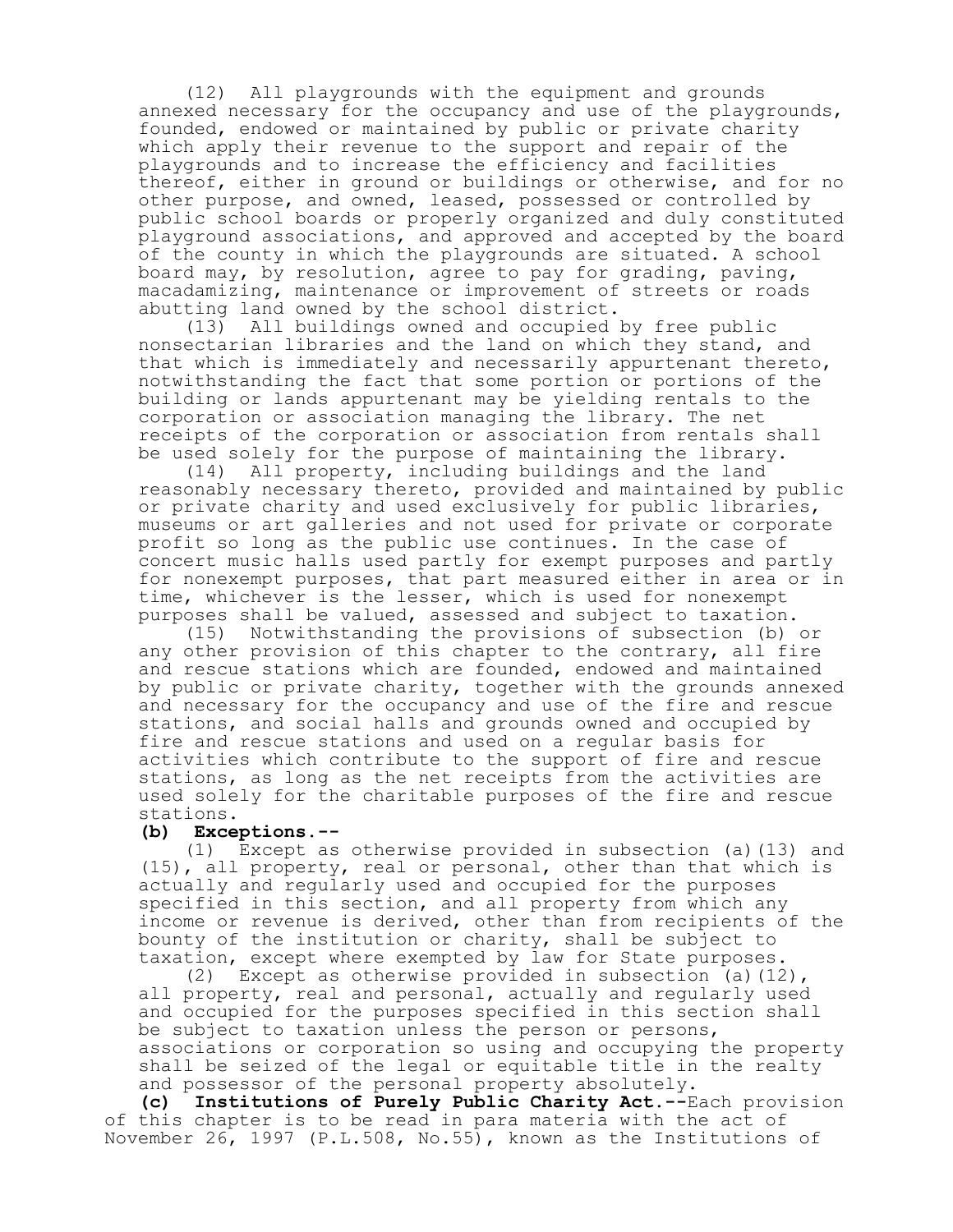(12) All playgrounds with the equipment and grounds annexed necessary for the occupancy and use of the playgrounds, founded, endowed or maintained by public or private charity which apply their revenue to the support and repair of the playgrounds and to increase the efficiency and facilities thereof, either in ground or buildings or otherwise, and for no other purpose, and owned, leased, possessed or controlled by public school boards or properly organized and duly constituted playground associations, and approved and accepted by the board of the county in which the playgrounds are situated. A school board may, by resolution, agree to pay for grading, paving, macadamizing, maintenance or improvement of streets or roads abutting land owned by the school district.

(13) All buildings owned and occupied by free public nonsectarian libraries and the land on which they stand, and that which is immediately and necessarily appurtenant thereto, notwithstanding the fact that some portion or portions of the building or lands appurtenant may be yielding rentals to the corporation or association managing the library. The net receipts of the corporation or association from rentals shall be used solely for the purpose of maintaining the library.

(14) All property, including buildings and the land reasonably necessary thereto, provided and maintained by public or private charity and used exclusively for public libraries, museums or art galleries and not used for private or corporate profit so long as the public use continues. In the case of concert music halls used partly for exempt purposes and partly for nonexempt purposes, that part measured either in area or in time, whichever is the lesser, which is used for nonexempt purposes shall be valued, assessed and subject to taxation.

(15) Notwithstanding the provisions of subsection (b) or any other provision of this chapter to the contrary, all fire and rescue stations which are founded, endowed and maintained by public or private charity, together with the grounds annexed and necessary for the occupancy and use of the fire and rescue stations, and social halls and grounds owned and occupied by fire and rescue stations and used on a regular basis for activities which contribute to the support of fire and rescue stations, as long as the net receipts from the activities are used solely for the charitable purposes of the fire and rescue stations.

## **(b) Exceptions.--**

(1) Except as otherwise provided in subsection (a)(13) and (15), all property, real or personal, other than that which is actually and regularly used and occupied for the purposes specified in this section, and all property from which any income or revenue is derived, other than from recipients of the bounty of the institution or charity, shall be subject to taxation, except where exempted by law for State purposes.

(2) Except as otherwise provided in subsection (a)(12), all property, real and personal, actually and regularly used and occupied for the purposes specified in this section shall be subject to taxation unless the person or persons, associations or corporation so using and occupying the property shall be seized of the legal or equitable title in the realty and possessor of the personal property absolutely.

**(c) Institutions of Purely Public Charity Act.--**Each provision of this chapter is to be read in para materia with the act of November 26, 1997 (P.L.508, No.55), known as the Institutions of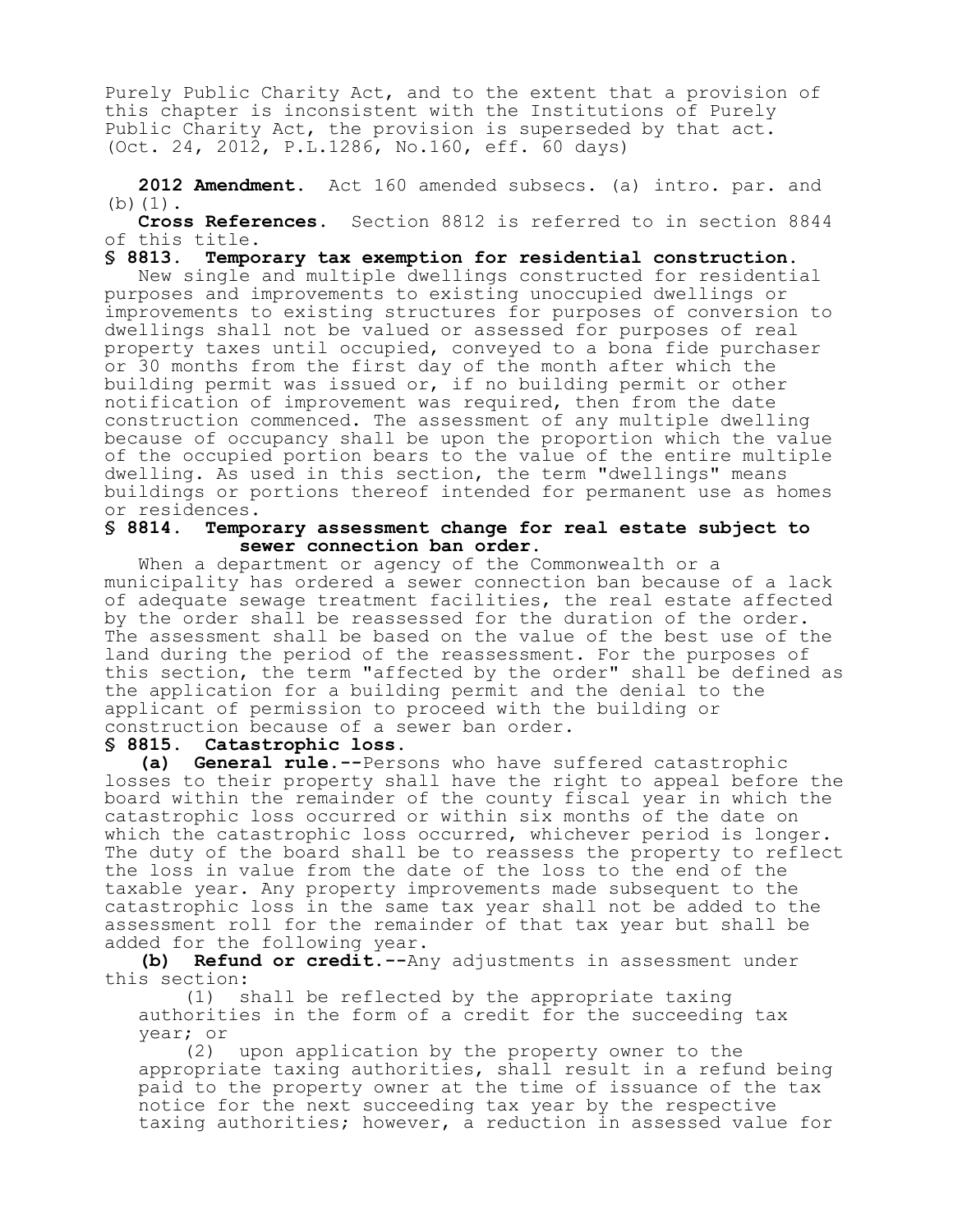Purely Public Charity Act, and to the extent that a provision of this chapter is inconsistent with the Institutions of Purely Public Charity Act, the provision is superseded by that act. (Oct. 24, 2012, P.L.1286, No.160, eff. 60 days)

**2012 Amendment.** Act 160 amended subsecs. (a) intro. par. and (b)(1).

**Cross References.** Section 8812 is referred to in section 8844 of this title.

**§ 8813. Temporary tax exemption for residential construction.** New single and multiple dwellings constructed for residential purposes and improvements to existing unoccupied dwellings or improvements to existing structures for purposes of conversion to dwellings shall not be valued or assessed for purposes of real property taxes until occupied, conveyed to a bona fide purchaser or 30 months from the first day of the month after which the building permit was issued or, if no building permit or other notification of improvement was required, then from the date construction commenced. The assessment of any multiple dwelling because of occupancy shall be upon the proportion which the value of the occupied portion bears to the value of the entire multiple dwelling. As used in this section, the term "dwellings" means buildings or portions thereof intended for permanent use as homes or residences.<br>§ 8814. Tempo

#### **§ 8814. Temporary assessment change for real estate subject to sewer connection ban order.**

When a department or agency of the Commonwealth or a municipality has ordered a sewer connection ban because of a lack of adequate sewage treatment facilities, the real estate affected by the order shall be reassessed for the duration of the order. The assessment shall be based on the value of the best use of the land during the period of the reassessment. For the purposes of this section, the term "affected by the order" shall be defined as the application for a building permit and the denial to the applicant of permission to proceed with the building or construction because of a sewer ban order.

#### **§ 8815. Catastrophic loss.**

**(a) General rule.--**Persons who have suffered catastrophic losses to their property shall have the right to appeal before the board within the remainder of the county fiscal year in which the catastrophic loss occurred or within six months of the date on which the catastrophic loss occurred, whichever period is longer. The duty of the board shall be to reassess the property to reflect the loss in value from the date of the loss to the end of the taxable year. Any property improvements made subsequent to the catastrophic loss in the same tax year shall not be added to the assessment roll for the remainder of that tax year but shall be added for the following year.

**(b) Refund or credit.--**Any adjustments in assessment under this section:

(1) shall be reflected by the appropriate taxing authorities in the form of a credit for the succeeding tax year; or

(2) upon application by the property owner to the appropriate taxing authorities, shall result in a refund being paid to the property owner at the time of issuance of the tax notice for the next succeeding tax year by the respective taxing authorities; however, a reduction in assessed value for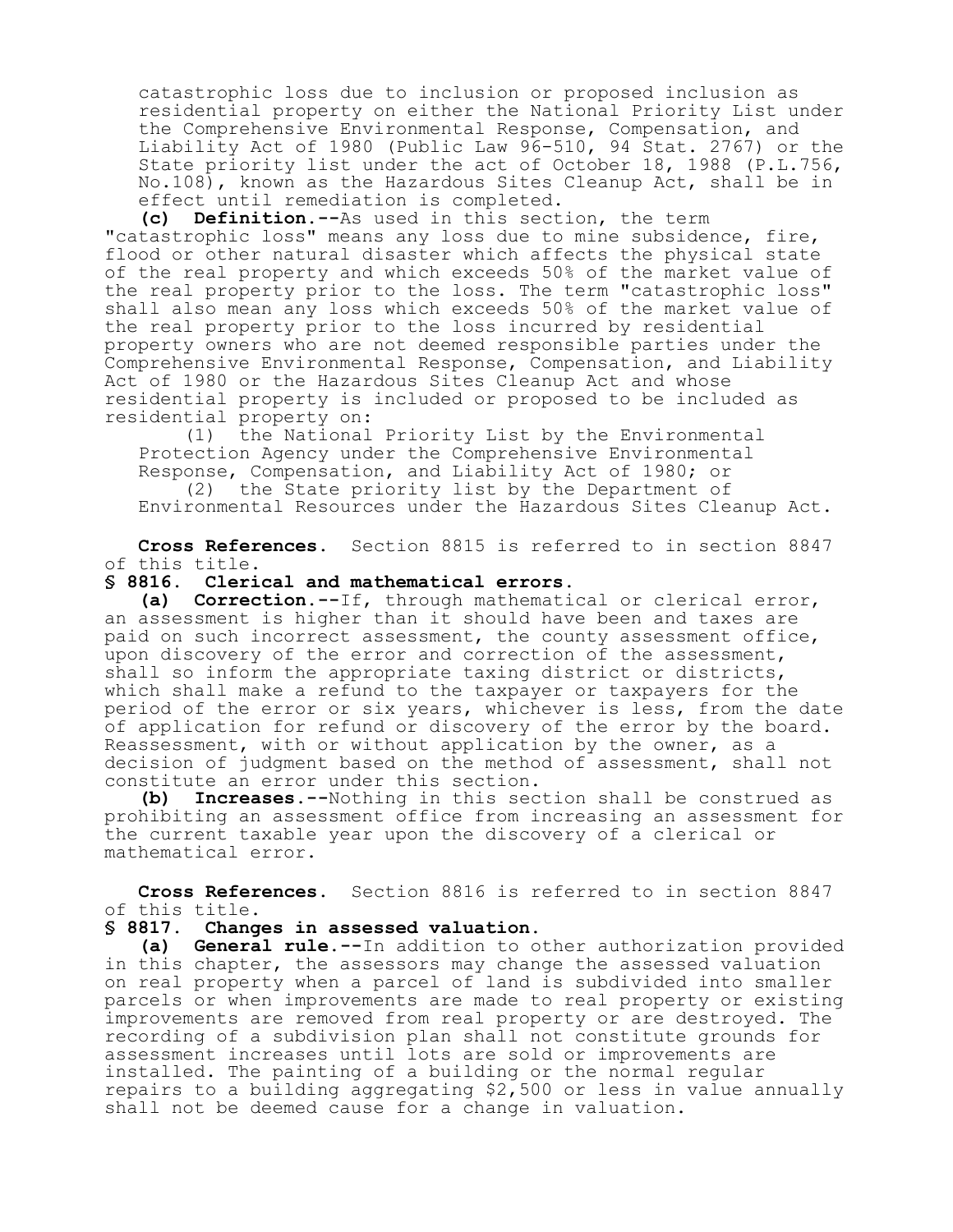catastrophic loss due to inclusion or proposed inclusion as residential property on either the National Priority List under the Comprehensive Environmental Response, Compensation, and Liability Act of 1980 (Public Law 96-510, 94 Stat. 2767) or the State priority list under the act of October 18, 1988 (P.L.756, No.108), known as the Hazardous Sites Cleanup Act, shall be in effect until remediation is completed.

**(c) Definition.--**As used in this section, the term "catastrophic loss" means any loss due to mine subsidence, fire, flood or other natural disaster which affects the physical state of the real property and which exceeds 50% of the market value of the real property prior to the loss. The term "catastrophic loss" shall also mean any loss which exceeds 50% of the market value of the real property prior to the loss incurred by residential property owners who are not deemed responsible parties under the Comprehensive Environmental Response, Compensation, and Liability Act of 1980 or the Hazardous Sites Cleanup Act and whose residential property is included or proposed to be included as residential property on:

(1) the National Priority List by the Environmental Protection Agency under the Comprehensive Environmental Response, Compensation, and Liability Act of 1980; or

(2) the State priority list by the Department of Environmental Resources under the Hazardous Sites Cleanup Act.

**Cross References.** Section 8815 is referred to in section 8847 of this title.

#### **§ 8816. Clerical and mathematical errors.**

**(a) Correction.--**If, through mathematical or clerical error, an assessment is higher than it should have been and taxes are paid on such incorrect assessment, the county assessment office, upon discovery of the error and correction of the assessment, shall so inform the appropriate taxing district or districts, which shall make a refund to the taxpayer or taxpayers for the period of the error or six years, whichever is less, from the date of application for refund or discovery of the error by the board. Reassessment, with or without application by the owner, as a decision of judgment based on the method of assessment, shall not constitute an error under this section.

**(b) Increases.--**Nothing in this section shall be construed as prohibiting an assessment office from increasing an assessment for the current taxable year upon the discovery of a clerical or mathematical error.

**Cross References.** Section 8816 is referred to in section 8847 of this title.

#### **§ 8817. Changes in assessed valuation.**

**(a) General rule.--**In addition to other authorization provided in this chapter, the assessors may change the assessed valuation on real property when a parcel of land is subdivided into smaller parcels or when improvements are made to real property or existing improvements are removed from real property or are destroyed. The recording of a subdivision plan shall not constitute grounds for assessment increases until lots are sold or improvements are installed. The painting of a building or the normal regular repairs to a building aggregating \$2,500 or less in value annually shall not be deemed cause for a change in valuation.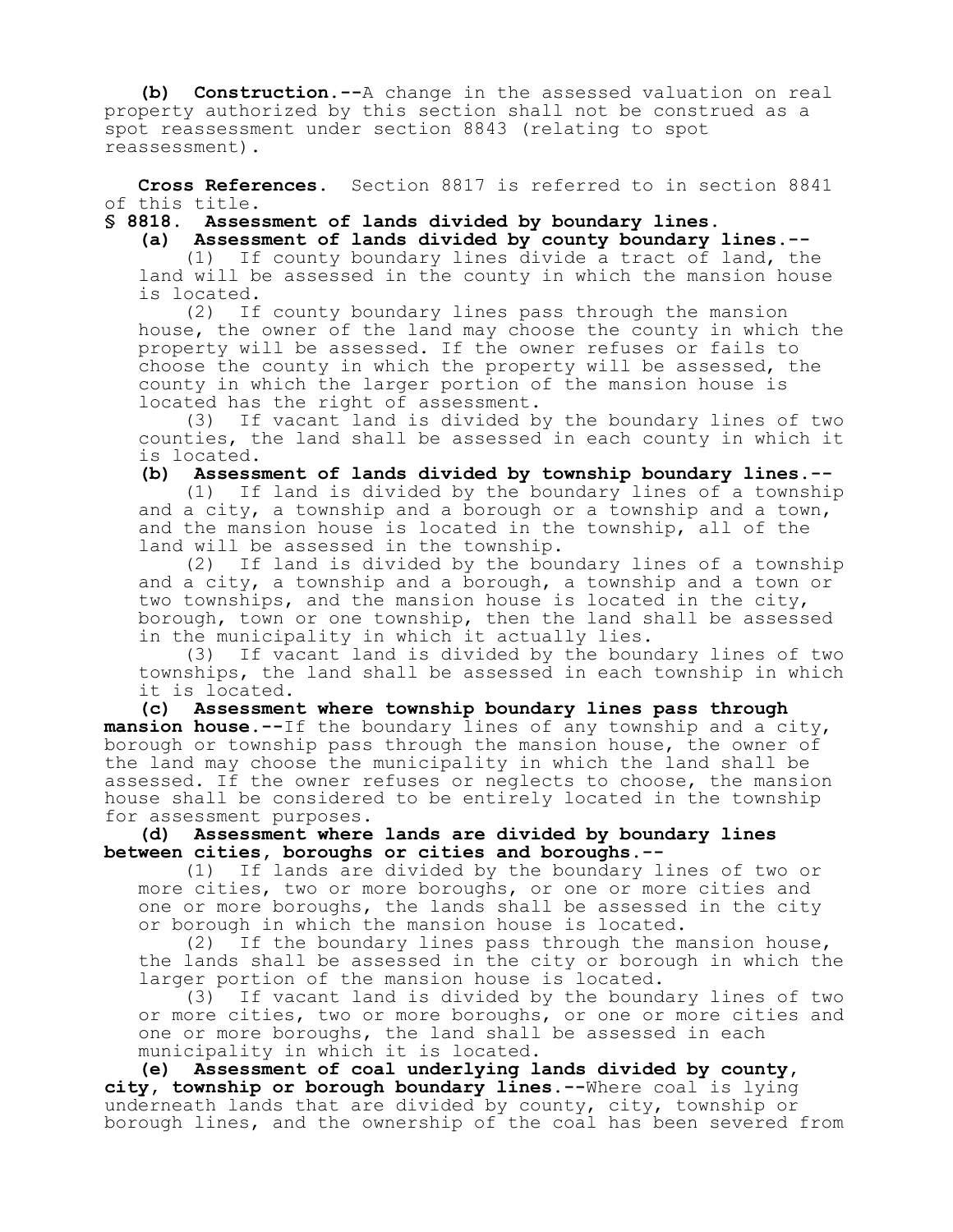**(b) Construction.--**A change in the assessed valuation on real property authorized by this section shall not be construed as a spot reassessment under section 8843 (relating to spot reassessment).

**Cross References.** Section 8817 is referred to in section 8841 of this title.

**§ 8818. Assessment of lands divided by boundary lines.**

**(a) Assessment of lands divided by county boundary lines.--**

(1) If county boundary lines divide a tract of land, the land will be assessed in the county in which the mansion house is located.

(2) If county boundary lines pass through the mansion house, the owner of the land may choose the county in which the property will be assessed. If the owner refuses or fails to choose the county in which the property will be assessed, the county in which the larger portion of the mansion house is located has the right of assessment.<br>(3) If vacant land is divided b

If vacant land is divided by the boundary lines of two counties, the land shall be assessed in each county in which it is located.

**(b) Assessment of lands divided by township boundary lines.--**

(1) If land is divided by the boundary lines of a township and a city, a township and a borough or a township and a town, and the mansion house is located in the township, all of the land will be assessed in the township.

(2) If land is divided by the boundary lines of a township and a city, a township and a borough, a township and a town or two townships, and the mansion house is located in the city, borough, town or one township, then the land shall be assessed in the municipality in which it actually lies.

(3) If vacant land is divided by the boundary lines of two townships, the land shall be assessed in each township in which it is located.

**(c) Assessment where township boundary lines pass through mansion house.--**If the boundary lines of any township and a city, borough or township pass through the mansion house, the owner of the land may choose the municipality in which the land shall be assessed. If the owner refuses or neglects to choose, the mansion house shall be considered to be entirely located in the township for assessment purposes.

**(d) Assessment where lands are divided by boundary lines between cities, boroughs or cities and boroughs.--**

(1) If lands are divided by the boundary lines of two or more cities, two or more boroughs, or one or more cities and one or more boroughs, the lands shall be assessed in the city or borough in which the mansion house is located.

(2) If the boundary lines pass through the mansion house, the lands shall be assessed in the city or borough in which the larger portion of the mansion house is located.

(3) If vacant land is divided by the boundary lines of two or more cities, two or more boroughs, or one or more cities and one or more boroughs, the land shall be assessed in each municipality in which it is located.

**(e) Assessment of coal underlying lands divided by county, city, township or borough boundary lines.--**Where coal is lying underneath lands that are divided by county, city, township or borough lines, and the ownership of the coal has been severed from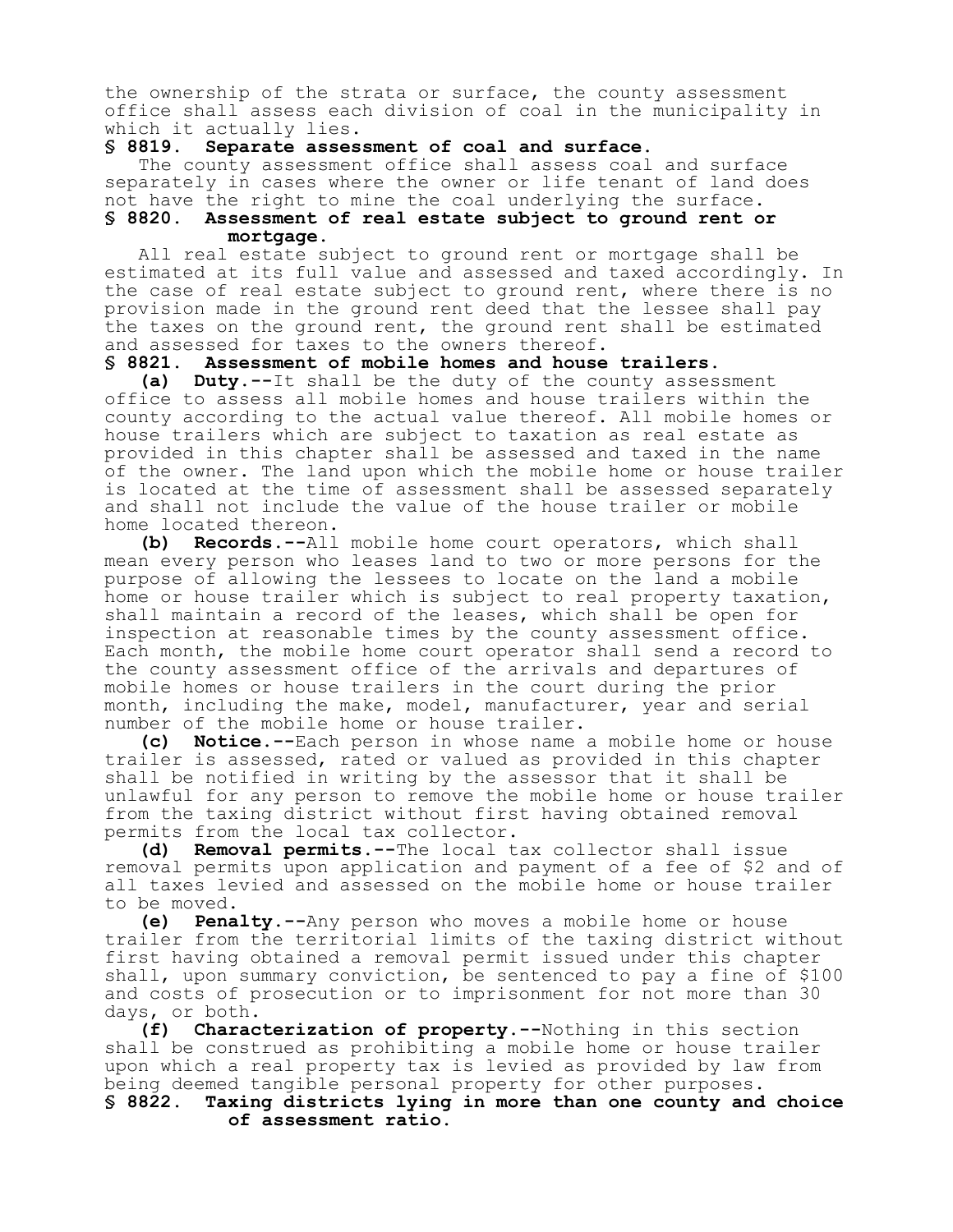the ownership of the strata or surface, the county assessment office shall assess each division of coal in the municipality in which it actually lies.

#### **§ 8819. Separate assessment of coal and surface.**

The county assessment office shall assess coal and surface separately in cases where the owner or life tenant of land does not have the right to mine the coal underlying the surface. **§ 8820. Assessment of real estate subject to ground rent or mortgage.**

All real estate subject to ground rent or mortgage shall be estimated at its full value and assessed and taxed accordingly. In the case of real estate subject to ground rent, where there is no provision made in the ground rent deed that the lessee shall pay the taxes on the ground rent, the ground rent shall be estimated and assessed for taxes to the owners thereof.

#### **§ 8821. Assessment of mobile homes and house trailers.**

**(a) Duty.--**It shall be the duty of the county assessment office to assess all mobile homes and house trailers within the county according to the actual value thereof. All mobile homes or house trailers which are subject to taxation as real estate as provided in this chapter shall be assessed and taxed in the name of the owner. The land upon which the mobile home or house trailer is located at the time of assessment shall be assessed separately and shall not include the value of the house trailer or mobile home located thereon.

**(b) Records.--**All mobile home court operators, which shall mean every person who leases land to two or more persons for the purpose of allowing the lessees to locate on the land a mobile home or house trailer which is subject to real property taxation, shall maintain a record of the leases, which shall be open for inspection at reasonable times by the county assessment office. Each month, the mobile home court operator shall send a record to the county assessment office of the arrivals and departures of mobile homes or house trailers in the court during the prior month, including the make, model, manufacturer, year and serial number of the mobile home or house trailer.

**(c) Notice.--**Each person in whose name a mobile home or house trailer is assessed, rated or valued as provided in this chapter shall be notified in writing by the assessor that it shall be unlawful for any person to remove the mobile home or house trailer from the taxing district without first having obtained removal permits from the local tax collector.

**(d) Removal permits.--**The local tax collector shall issue removal permits upon application and payment of a fee of \$2 and of all taxes levied and assessed on the mobile home or house trailer to be moved.

**(e) Penalty.--**Any person who moves a mobile home or house trailer from the territorial limits of the taxing district without first having obtained a removal permit issued under this chapter shall, upon summary conviction, be sentenced to pay a fine of \$100 and costs of prosecution or to imprisonment for not more than 30 days, or both.

**(f) Characterization of property.--**Nothing in this section shall be construed as prohibiting a mobile home or house trailer upon which a real property tax is levied as provided by law from being deemed tangible personal property for other purposes.

**§ 8822. Taxing districts lying in more than one county and choice of assessment ratio.**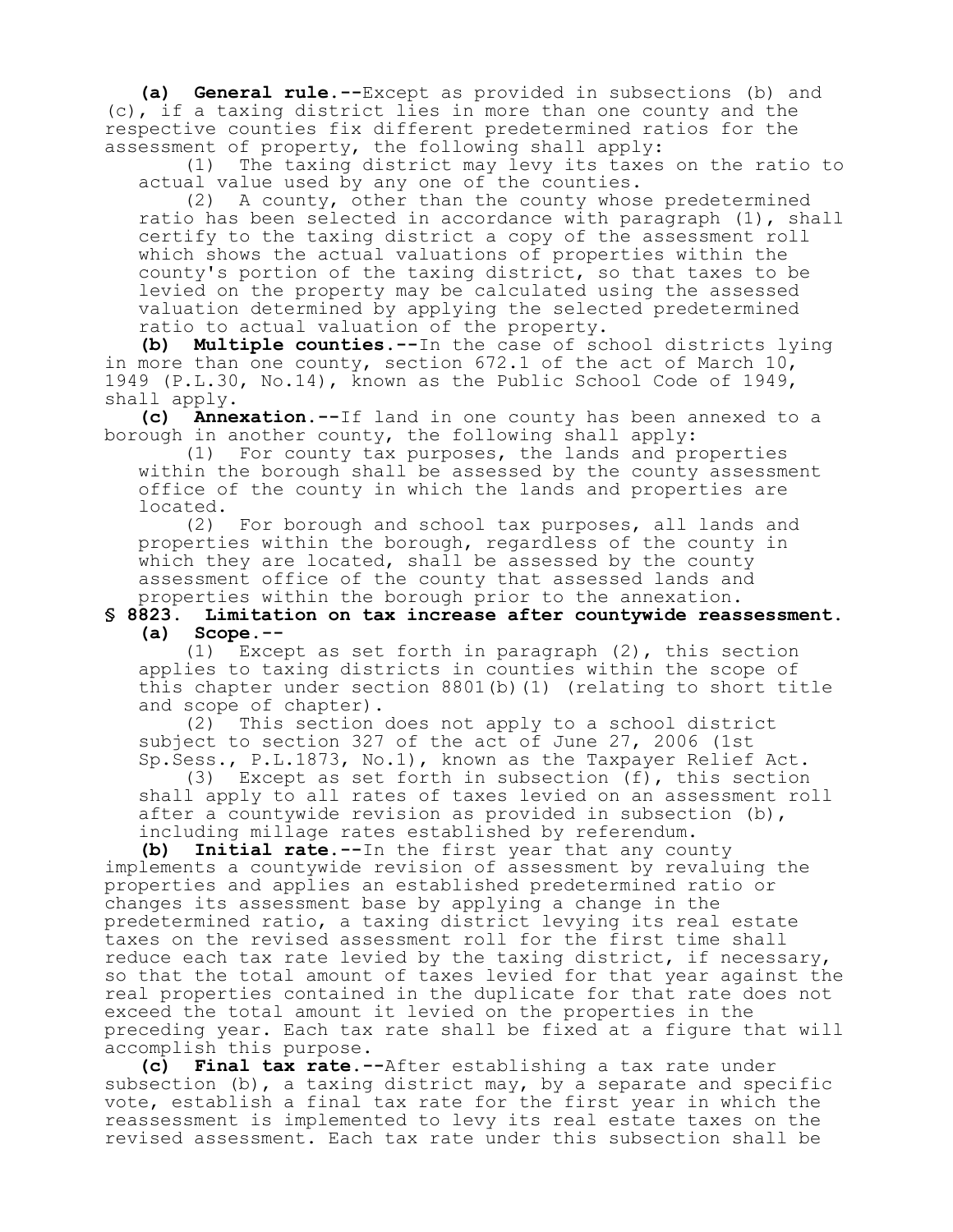**(a) General rule.--**Except as provided in subsections (b) and (c), if a taxing district lies in more than one county and the respective counties fix different predetermined ratios for the assessment of property, the following shall apply:

(1) The taxing district may levy its taxes on the ratio to actual value used by any one of the counties.

(2) A county, other than the county whose predetermined ratio has been selected in accordance with paragraph (1), shall certify to the taxing district a copy of the assessment roll which shows the actual valuations of properties within the county's portion of the taxing district, so that taxes to be levied on the property may be calculated using the assessed valuation determined by applying the selected predetermined ratio to actual valuation of the property.

**(b) Multiple counties.--**In the case of school districts lying in more than one county, section 672.1 of the act of March 10, 1949 (P.L.30, No.14), known as the Public School Code of 1949, shall apply.

**(c) Annexation.--**If land in one county has been annexed to a borough in another county, the following shall apply:

(1) For county tax purposes, the lands and properties within the borough shall be assessed by the county assessment office of the county in which the lands and properties are located.

(2) For borough and school tax purposes, all lands and properties within the borough, regardless of the county in which they are located, shall be assessed by the county assessment office of the county that assessed lands and properties within the borough prior to the annexation.

#### **§ 8823. Limitation on tax increase after countywide reassessment. (a) Scope.--**

(1) Except as set forth in paragraph (2), this section applies to taxing districts in counties within the scope of this chapter under section 8801(b)(1) (relating to short title and scope of chapter).

(2) This section does not apply to a school district subject to section 327 of the act of June 27, 2006 (1st Sp.Sess., P.L.1873, No.1), known as the Taxpayer Relief Act.

(3) Except as set forth in subsection (f), this section shall apply to all rates of taxes levied on an assessment roll after a countywide revision as provided in subsection (b), including millage rates established by referendum.

**(b) Initial rate.--**In the first year that any county implements a countywide revision of assessment by revaluing the properties and applies an established predetermined ratio or changes its assessment base by applying a change in the predetermined ratio, a taxing district levying its real estate taxes on the revised assessment roll for the first time shall reduce each tax rate levied by the taxing district, if necessary, so that the total amount of taxes levied for that year against the real properties contained in the duplicate for that rate does not exceed the total amount it levied on the properties in the preceding year. Each tax rate shall be fixed at a figure that will accomplish this purpose.

**(c) Final tax rate.--**After establishing a tax rate under subsection (b), a taxing district may, by a separate and specific vote, establish a final tax rate for the first year in which the reassessment is implemented to levy its real estate taxes on the revised assessment. Each tax rate under this subsection shall be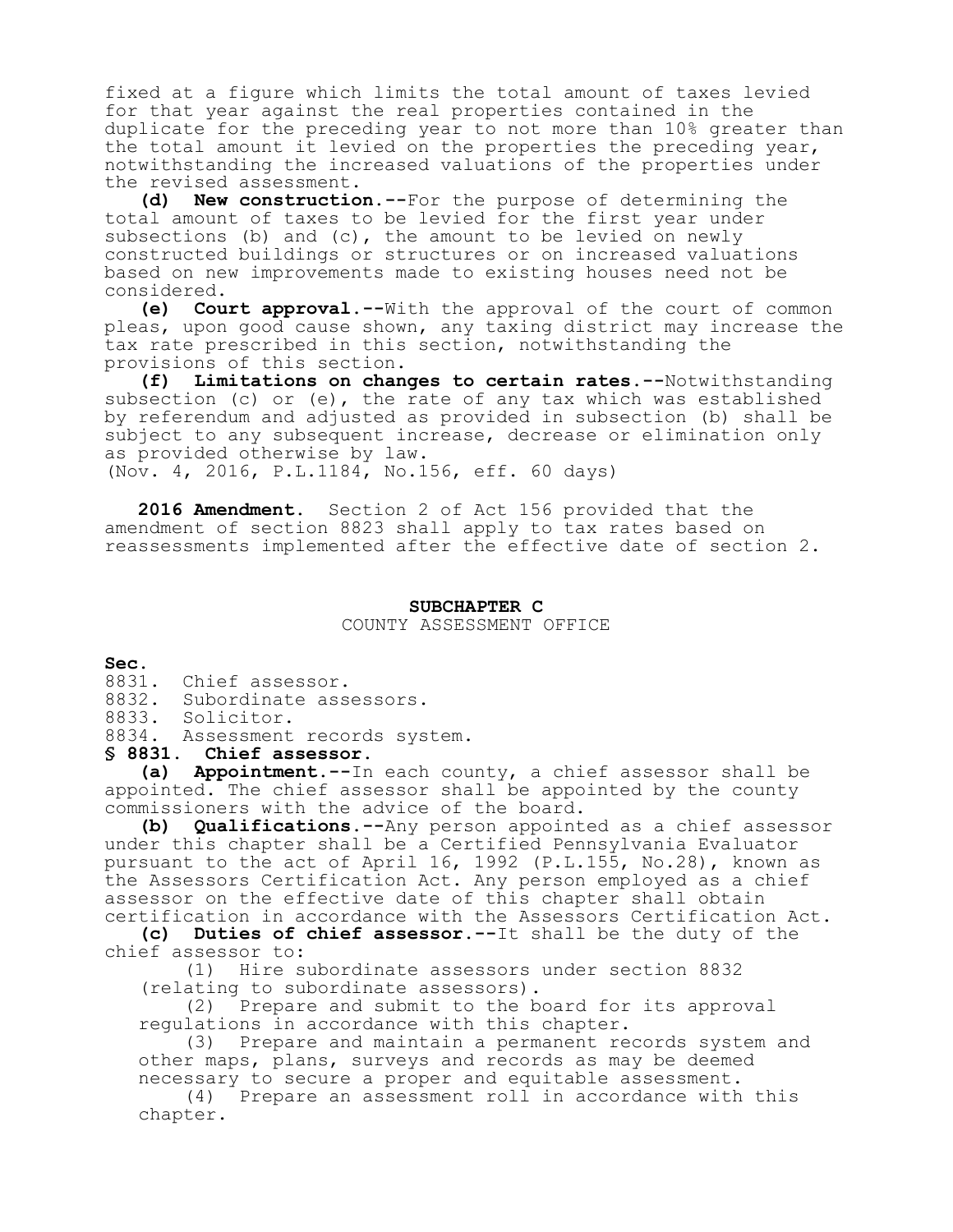fixed at a figure which limits the total amount of taxes levied for that year against the real properties contained in the duplicate for the preceding year to not more than 10% greater than the total amount it levied on the properties the preceding year, notwithstanding the increased valuations of the properties under the revised assessment.

**(d) New construction.--**For the purpose of determining the total amount of taxes to be levied for the first year under subsections (b) and (c), the amount to be levied on newly constructed buildings or structures or on increased valuations based on new improvements made to existing houses need not be considered.

**(e) Court approval.--**With the approval of the court of common pleas, upon good cause shown, any taxing district may increase the tax rate prescribed in this section, notwithstanding the provisions of this section.

**(f) Limitations on changes to certain rates.--**Notwithstanding subsection (c) or (e), the rate of any tax which was established by referendum and adjusted as provided in subsection (b) shall be subject to any subsequent increase, decrease or elimination only as provided otherwise by law. (Nov. 4, 2016, P.L.1184, No.156, eff. 60 days)

**2016 Amendment.** Section 2 of Act 156 provided that the

amendment of section 8823 shall apply to tax rates based on reassessments implemented after the effective date of section 2.

#### **SUBCHAPTER C** COUNTY ASSESSMENT OFFICE

**Sec.**

- 8831. Chief assessor.
- 8832. Subordinate assessors.

8833. Solicitor.

8834. Assessment records system.

**§ 8831. Chief assessor.**

**(a) Appointment.--**In each county, a chief assessor shall be appointed. The chief assessor shall be appointed by the county commissioners with the advice of the board.

**(b) Qualifications.--**Any person appointed as a chief assessor under this chapter shall be a Certified Pennsylvania Evaluator pursuant to the act of April 16, 1992 (P.L.155, No.28), known as the Assessors Certification Act. Any person employed as a chief assessor on the effective date of this chapter shall obtain certification in accordance with the Assessors Certification Act.

**(c) Duties of chief assessor.--**It shall be the duty of the chief assessor to:<br>(1) Hire s

Hire subordinate assessors under section 8832 (relating to subordinate assessors).

(2) Prepare and submit to the board for its approval regulations in accordance with this chapter.

(3) Prepare and maintain a permanent records system and other maps, plans, surveys and records as may be deemed necessary to secure a proper and equitable assessment.

(4) Prepare an assessment roll in accordance with this chapter.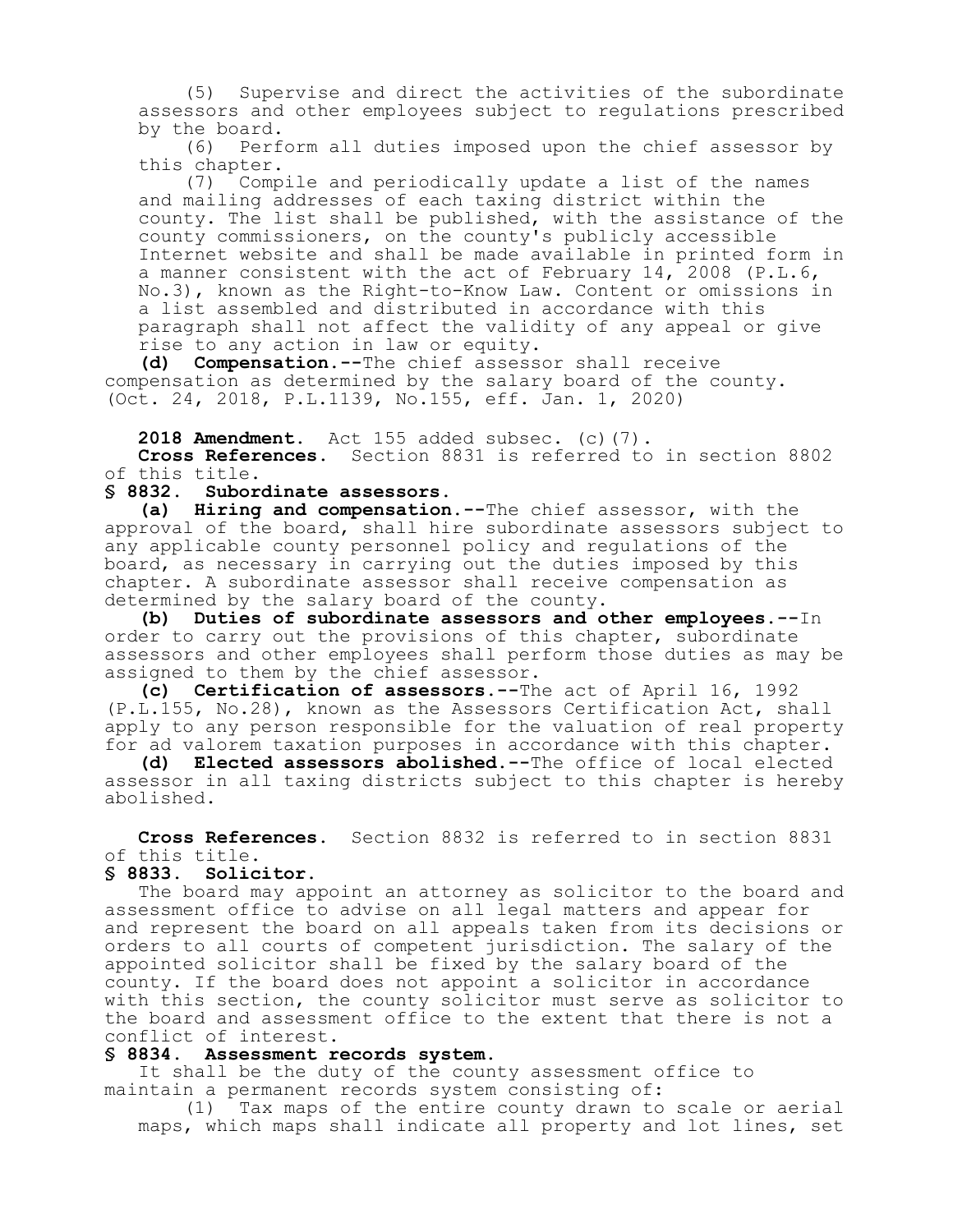(5) Supervise and direct the activities of the subordinate assessors and other employees subject to regulations prescribed by the board.<br>(6) Perf

Perform all duties imposed upon the chief assessor by this chapter.

(7) Compile and periodically update a list of the names and mailing addresses of each taxing district within the county. The list shall be published, with the assistance of the county commissioners, on the county's publicly accessible Internet website and shall be made available in printed form in a manner consistent with the act of February 14, 2008 (P.L.6, No.3), known as the Right-to-Know Law. Content or omissions in a list assembled and distributed in accordance with this paragraph shall not affect the validity of any appeal or give rise to any action in law or equity.

**(d) Compensation.--**The chief assessor shall receive compensation as determined by the salary board of the county. (Oct. 24, 2018, P.L.1139, No.155, eff. Jan. 1, 2020)

**2018 Amendment.** Act 155 added subsec. (c)(7).

**Cross References.** Section 8831 is referred to in section 8802 of this title.

#### **§ 8832. Subordinate assessors.**

**(a) Hiring and compensation.--**The chief assessor, with the approval of the board, shall hire subordinate assessors subject to any applicable county personnel policy and regulations of the board, as necessary in carrying out the duties imposed by this chapter. A subordinate assessor shall receive compensation as determined by the salary board of the county.

**(b) Duties of subordinate assessors and other employees.--**In order to carry out the provisions of this chapter, subordinate assessors and other employees shall perform those duties as may be assigned to them by the chief assessor.

**(c) Certification of assessors.--**The act of April 16, 1992 (P.L.155, No.28), known as the Assessors Certification Act, shall apply to any person responsible for the valuation of real property for ad valorem taxation purposes in accordance with this chapter.

**(d) Elected assessors abolished.--**The office of local elected assessor in all taxing districts subject to this chapter is hereby abolished.

**Cross References.** Section 8832 is referred to in section 8831 of this title.

#### **§ 8833. Solicitor.**

The board may appoint an attorney as solicitor to the board and assessment office to advise on all legal matters and appear for and represent the board on all appeals taken from its decisions or orders to all courts of competent jurisdiction. The salary of the appointed solicitor shall be fixed by the salary board of the county. If the board does not appoint a solicitor in accordance with this section, the county solicitor must serve as solicitor to the board and assessment office to the extent that there is not a conflict of interest.

# **§ 8834. Assessment records system.**

It shall be the duty of the county assessment office to maintain a permanent records system consisting of:

(1) Tax maps of the entire county drawn to scale or aerial maps, which maps shall indicate all property and lot lines, set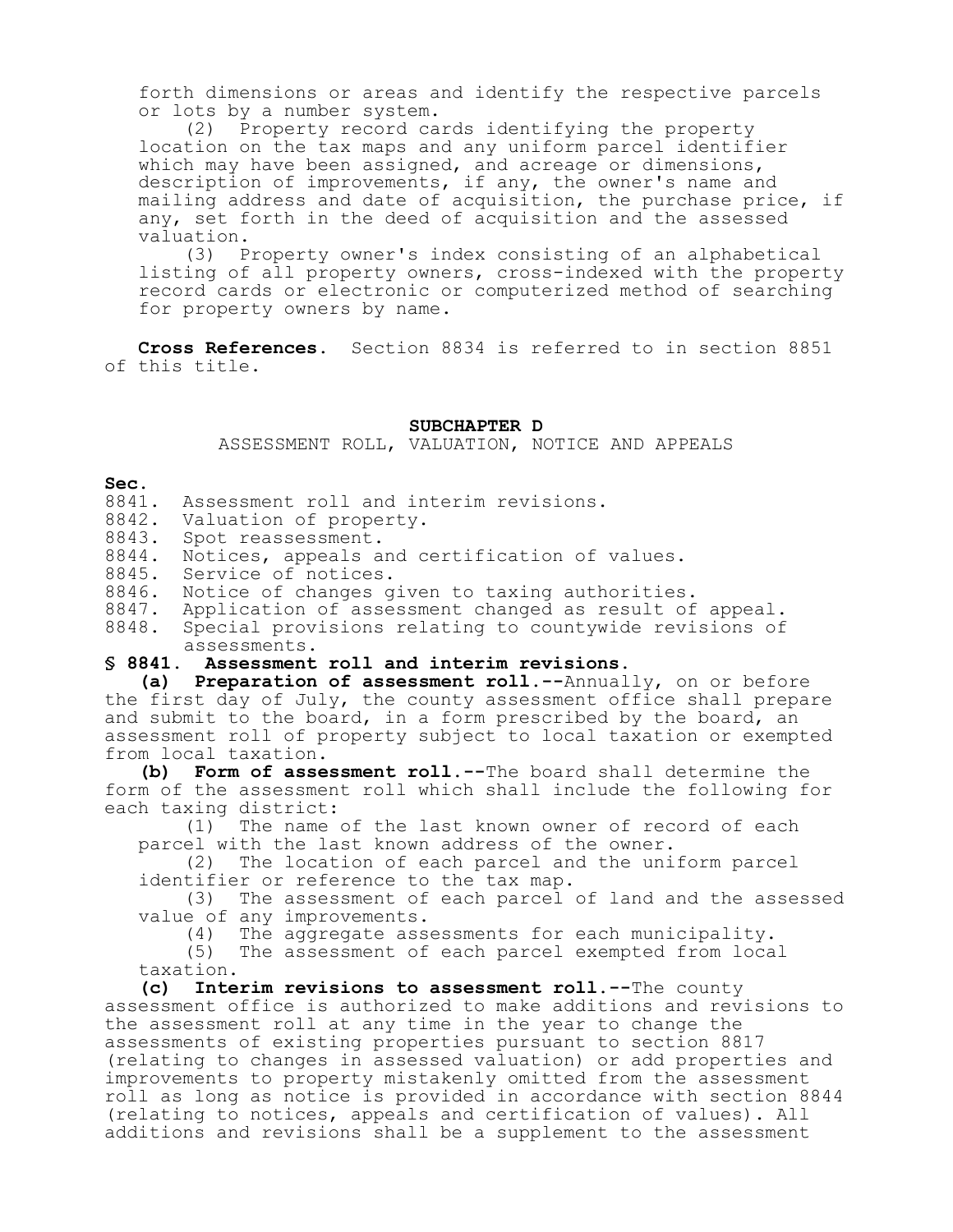forth dimensions or areas and identify the respective parcels or lots by a number system.

(2) Property record cards identifying the property location on the tax maps and any uniform parcel identifier which may have been assigned, and acreage or dimensions, description of improvements, if any, the owner's name and mailing address and date of acquisition, the purchase price, if any, set forth in the deed of acquisition and the assessed valuation.

(3) Property owner's index consisting of an alphabetical listing of all property owners, cross-indexed with the property record cards or electronic or computerized method of searching for property owners by name.

**Cross References.** Section 8834 is referred to in section 8851 of this title.

#### **SUBCHAPTER D**

ASSESSMENT ROLL, VALUATION, NOTICE AND APPEALS

#### **Sec.**

- 8841. Assessment roll and interim revisions.
- 8842. Valuation of property.
- 8843. Spot reassessment.
- 8844. Notices, appeals and certification of values.
- 8845. Service of notices.
- 8846. Notice of changes given to taxing authorities.

8847. Application of assessment changed as result of appeal.

8848. Special provisions relating to countywide revisions of assessments.

#### **§ 8841. Assessment roll and interim revisions.**

**(a) Preparation of assessment roll.--**Annually, on or before the first day of July, the county assessment office shall prepare and submit to the board, in a form prescribed by the board, an assessment roll of property subject to local taxation or exempted from local taxation.

**(b) Form of assessment roll.--**The board shall determine the form of the assessment roll which shall include the following for each taxing district:

(1) The name of the last known owner of record of each parcel with the last known address of the owner.

(2) The location of each parcel and the uniform parcel identifier or reference to the tax map.

(3) The assessment of each parcel of land and the assessed value of any improvements.<br>(4) The aggregate ass

The aggregate assessments for each municipality.

(5) The assessment of each parcel exempted from local taxation.

**(c) Interim revisions to assessment roll.--**The county assessment office is authorized to make additions and revisions to the assessment roll at any time in the year to change the assessments of existing properties pursuant to section 8817 (relating to changes in assessed valuation) or add properties and improvements to property mistakenly omitted from the assessment roll as long as notice is provided in accordance with section 8844 (relating to notices, appeals and certification of values). All additions and revisions shall be a supplement to the assessment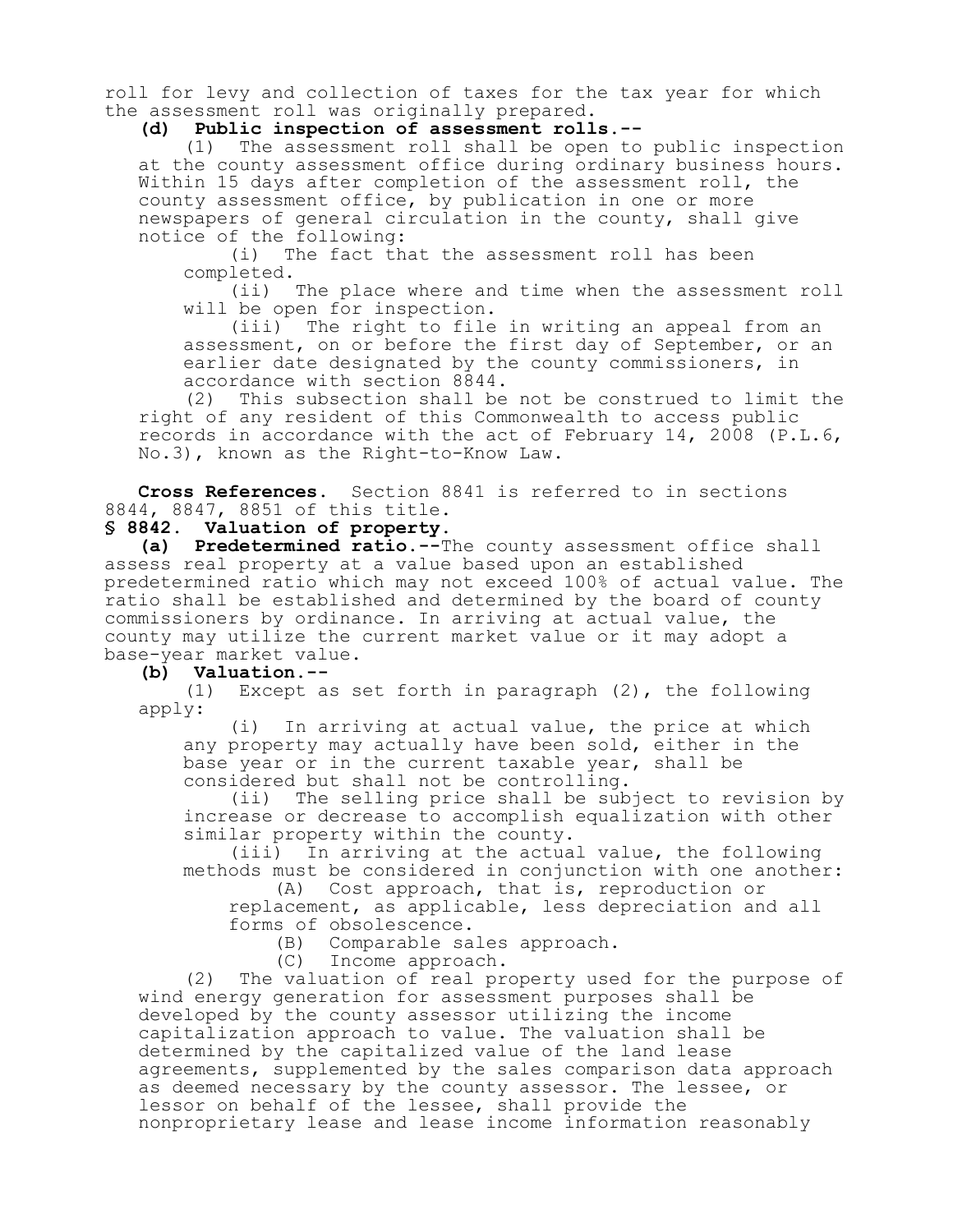roll for levy and collection of taxes for the tax year for which the assessment roll was originally prepared.

**(d) Public inspection of assessment rolls.--**

(1) The assessment roll shall be open to public inspection at the county assessment office during ordinary business hours. Within 15 days after completion of the assessment roll, the county assessment office, by publication in one or more newspapers of general circulation in the county, shall give notice of the following:

(i) The fact that the assessment roll has been completed.

(ii) The place where and time when the assessment roll will be open for inspection.

(iii) The right to file in writing an appeal from an assessment, on or before the first day of September, or an earlier date designated by the county commissioners, in accordance with section 8844.

(2) This subsection shall be not be construed to limit the right of any resident of this Commonwealth to access public records in accordance with the act of February 14, 2008 (P.L.6, No.3), known as the Right-to-Know Law.

**Cross References.** Section 8841 is referred to in sections 8844, 8847, 8851 of this title.

# **§ 8842. Valuation of property.**

**(a) Predetermined ratio.--**The county assessment office shall assess real property at a value based upon an established predetermined ratio which may not exceed 100% of actual value. The ratio shall be established and determined by the board of county commissioners by ordinance. In arriving at actual value, the county may utilize the current market value or it may adopt a base-year market value.

**(b) Valuation.--**

Except as set forth in paragraph  $(2)$ , the following apply:

(i) In arriving at actual value, the price at which any property may actually have been sold, either in the base year or in the current taxable year, shall be considered but shall not be controlling.<br>(ii) The selling price shall be sub

The selling price shall be subject to revision by increase or decrease to accomplish equalization with other similar property within the county.

(iii) In arriving at the actual value, the following methods must be considered in conjunction with one another:

(A) Cost approach, that is, reproduction or replacement, as applicable, less depreciation and all

forms of obsolescence.

(B) Comparable sales approach.

(C) Income approach.

(2) The valuation of real property used for the purpose of wind energy generation for assessment purposes shall be developed by the county assessor utilizing the income capitalization approach to value. The valuation shall be determined by the capitalized value of the land lease agreements, supplemented by the sales comparison data approach as deemed necessary by the county assessor. The lessee, or lessor on behalf of the lessee, shall provide the nonproprietary lease and lease income information reasonably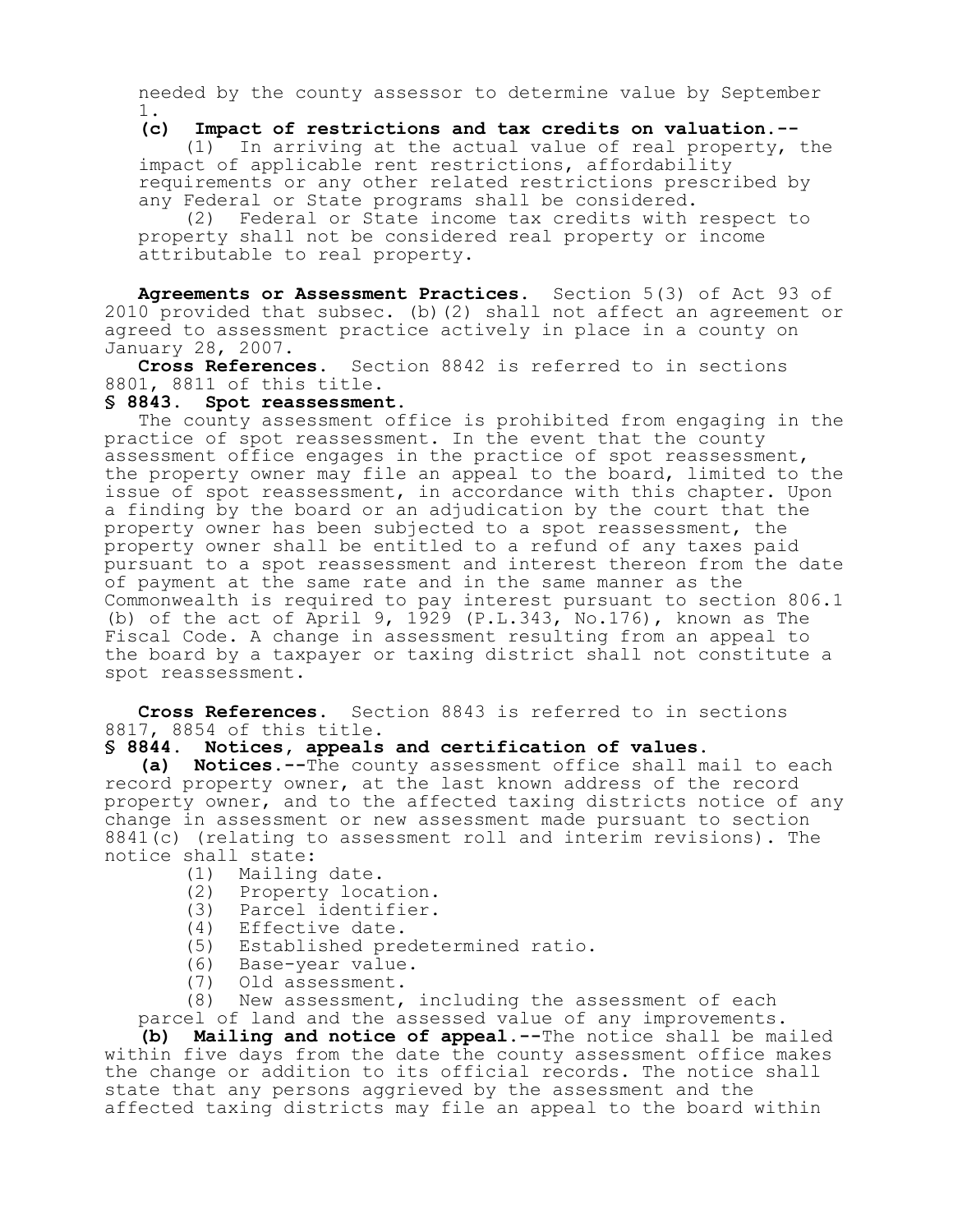needed by the county assessor to determine value by September 1.

#### **(c) Impact of restrictions and tax credits on valuation.--**

(1) In arriving at the actual value of real property, the impact of applicable rent restrictions, affordability requirements or any other related restrictions prescribed by any Federal or State programs shall be considered.

(2) Federal or State income tax credits with respect to property shall not be considered real property or income attributable to real property.

**Agreements or Assessment Practices.** Section 5(3) of Act 93 of 2010 provided that subsec. (b)(2) shall not affect an agreement or agreed to assessment practice actively in place in a county on January 28, 2007.

**Cross References.** Section 8842 is referred to in sections 8801, 8811 of this title.

# **§ 8843. Spot reassessment.**

The county assessment office is prohibited from engaging in the practice of spot reassessment. In the event that the county assessment office engages in the practice of spot reassessment, the property owner may file an appeal to the board, limited to the issue of spot reassessment, in accordance with this chapter. Upon a finding by the board or an adjudication by the court that the property owner has been subjected to a spot reassessment, the property owner shall be entitled to a refund of any taxes paid pursuant to a spot reassessment and interest thereon from the date of payment at the same rate and in the same manner as the Commonwealth is required to pay interest pursuant to section 806.1 (b) of the act of April 9, 1929 (P.L.343, No.176), known as The Fiscal Code. A change in assessment resulting from an appeal to the board by a taxpayer or taxing district shall not constitute a spot reassessment.

**Cross References.** Section 8843 is referred to in sections 8817, 8854 of this title.

#### **§ 8844. Notices, appeals and certification of values.**

**(a) Notices.--**The county assessment office shall mail to each record property owner, at the last known address of the record property owner, and to the affected taxing districts notice of any change in assessment or new assessment made pursuant to section 8841(c) (relating to assessment roll and interim revisions). The notice shall state:

- (1) Mailing date.
- (2) Property location.
- (3) Parcel identifier.
- (4) Effective date.<br>(5) Established pre
- Established predetermined ratio.
- (6) Base-year value.
- (7) Old assessment.

(8) New assessment, including the assessment of each

parcel of land and the assessed value of any improvements. **(b) Mailing and notice of appeal.--**The notice shall be mailed within five days from the date the county assessment office makes the change or addition to its official records. The notice shall state that any persons aggrieved by the assessment and the affected taxing districts may file an appeal to the board within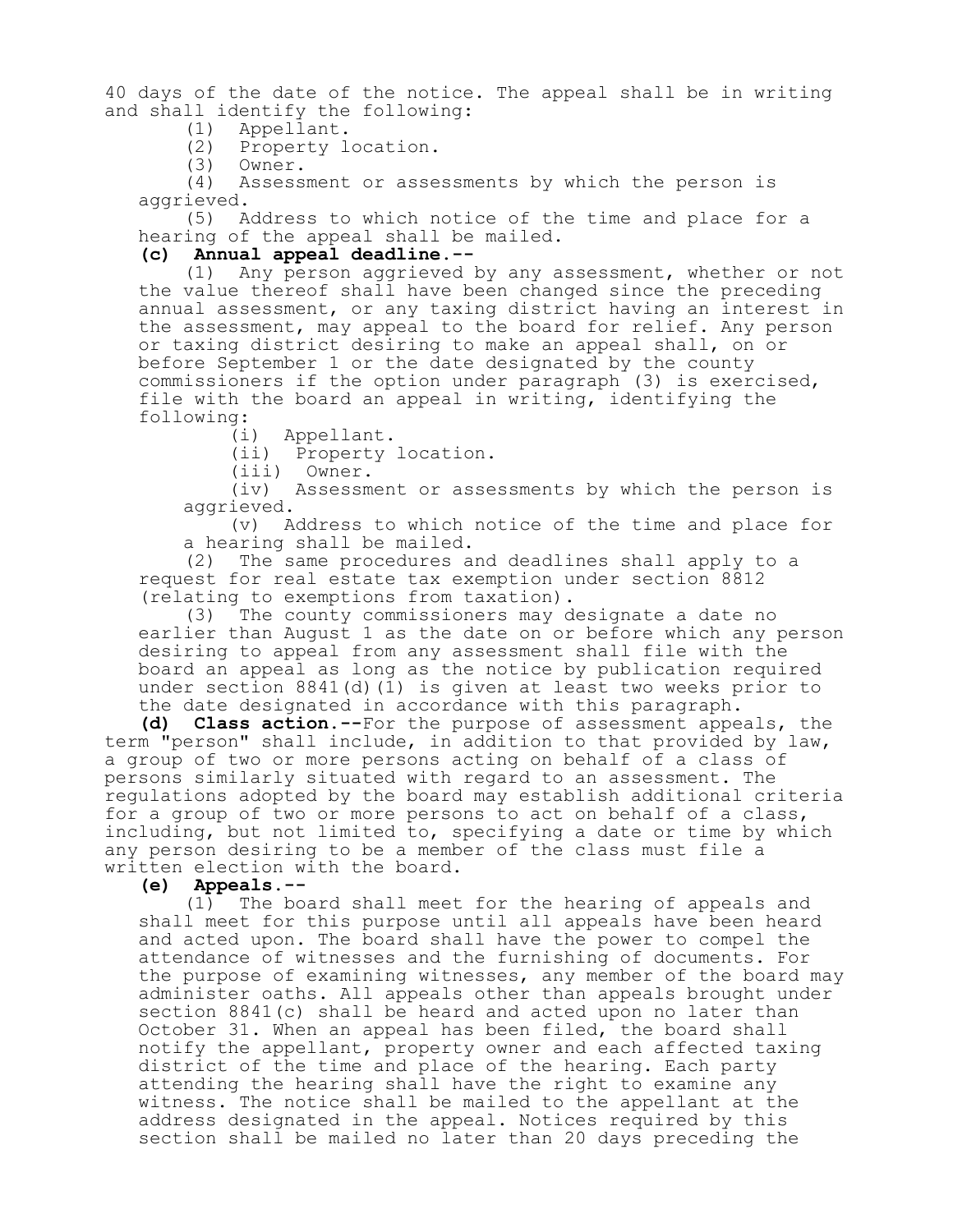40 days of the date of the notice. The appeal shall be in writing and shall identify the following:<br>(1) Appellant.

- (1) Appellant.
	- Property location.
- (3) Owner.

Assessment or assessments by which the person is aggrieved.

(5) Address to which notice of the time and place for a hearing of the appeal shall be mailed.

# **(c) Annual appeal deadline.--**

Any person aggrieved by any assessment, whether or not the value thereof shall have been changed since the preceding annual assessment, or any taxing district having an interest in the assessment, may appeal to the board for relief. Any person or taxing district desiring to make an appeal shall, on or before September 1 or the date designated by the county commissioners if the option under paragraph (3) is exercised, file with the board an appeal in writing, identifying the following:

(i) Appellant.

(ii) Property location.

(iii) Owner.

(iv) Assessment or assessments by which the person is aggrieved.

(v) Address to which notice of the time and place for a hearing shall be mailed.

(2) The same procedures and deadlines shall apply to a request for real estate tax exemption under section 8812 (relating to exemptions from taxation).

(3) The county commissioners may designate a date no earlier than August 1 as the date on or before which any person desiring to appeal from any assessment shall file with the board an appeal as long as the notice by publication required under section 8841(d)(1) is given at least two weeks prior to the date designated in accordance with this paragraph.

**(d) Class action.--**For the purpose of assessment appeals, the term "person" shall include, in addition to that provided by law, a group of two or more persons acting on behalf of a class of persons similarly situated with regard to an assessment. The regulations adopted by the board may establish additional criteria for a group of two or more persons to act on behalf of a class, including, but not limited to, specifying a date or time by which any person desiring to be a member of the class must file a written election with the board.

**(e) Appeals.--**

(1) The board shall meet for the hearing of appeals and shall meet for this purpose until all appeals have been heard and acted upon. The board shall have the power to compel the attendance of witnesses and the furnishing of documents. For the purpose of examining witnesses, any member of the board may administer oaths. All appeals other than appeals brought under section 8841(c) shall be heard and acted upon no later than October 31. When an appeal has been filed, the board shall notify the appellant, property owner and each affected taxing district of the time and place of the hearing. Each party attending the hearing shall have the right to examine any witness. The notice shall be mailed to the appellant at the address designated in the appeal. Notices required by this section shall be mailed no later than 20 days preceding the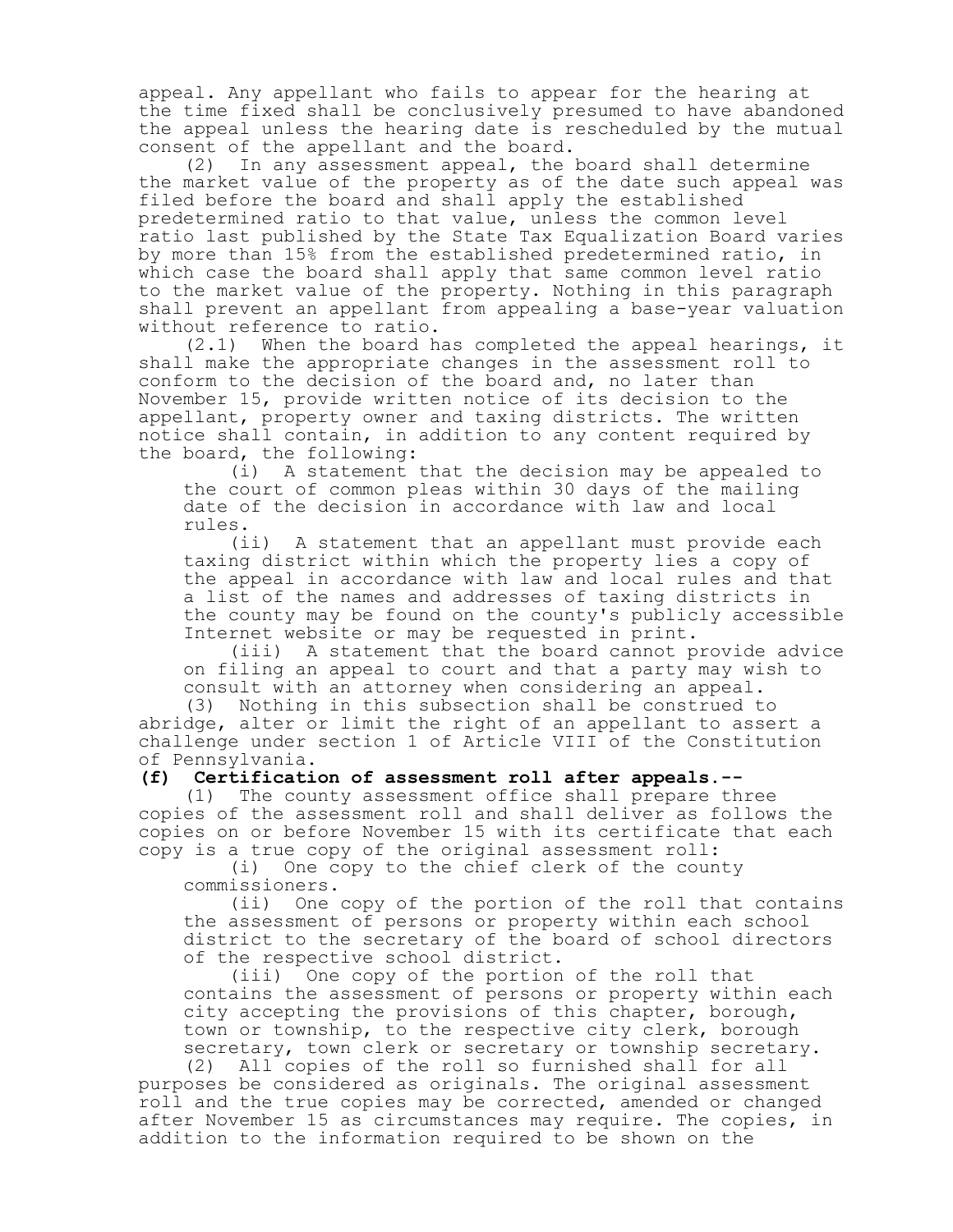appeal. Any appellant who fails to appear for the hearing at the time fixed shall be conclusively presumed to have abandoned the appeal unless the hearing date is rescheduled by the mutual consent of the appellant and the board.

(2) In any assessment appeal, the board shall determine the market value of the property as of the date such appeal was filed before the board and shall apply the established predetermined ratio to that value, unless the common level ratio last published by the State Tax Equalization Board varies by more than 15% from the established predetermined ratio, in which case the board shall apply that same common level ratio to the market value of the property. Nothing in this paragraph shall prevent an appellant from appealing a base-year valuation without reference to ratio.<br>(2.1) When the board h

When the board has completed the appeal hearings, it shall make the appropriate changes in the assessment roll to conform to the decision of the board and, no later than November 15, provide written notice of its decision to the appellant, property owner and taxing districts. The written notice shall contain, in addition to any content required by the board, the following:

(i) A statement that the decision may be appealed to the court of common pleas within 30 days of the mailing date of the decision in accordance with law and local rules.

(ii) A statement that an appellant must provide each taxing district within which the property lies a copy of the appeal in accordance with law and local rules and that a list of the names and addresses of taxing districts in the county may be found on the county's publicly accessible Internet website or may be requested in print.

(iii) A statement that the board cannot provide advice on filing an appeal to court and that a party may wish to consult with an attorney when considering an appeal.

(3) Nothing in this subsection shall be construed to abridge, alter or limit the right of an appellant to assert a challenge under section 1 of Article VIII of the Constitution of Pennsylvania.

**(f) Certification of assessment roll after appeals.--**

(1) The county assessment office shall prepare three copies of the assessment roll and shall deliver as follows the copies on or before November 15 with its certificate that each copy is a true copy of the original assessment roll:

(i) One copy to the chief clerk of the county commissioners.

(ii) One copy of the portion of the roll that contains the assessment of persons or property within each school district to the secretary of the board of school directors of the respective school district.

(iii) One copy of the portion of the roll that contains the assessment of persons or property within each city accepting the provisions of this chapter, borough, town or township, to the respective city clerk, borough secretary, town clerk or secretary or township secretary.

(2) All copies of the roll so furnished shall for all purposes be considered as originals. The original assessment roll and the true copies may be corrected, amended or changed after November 15 as circumstances may require. The copies, in addition to the information required to be shown on the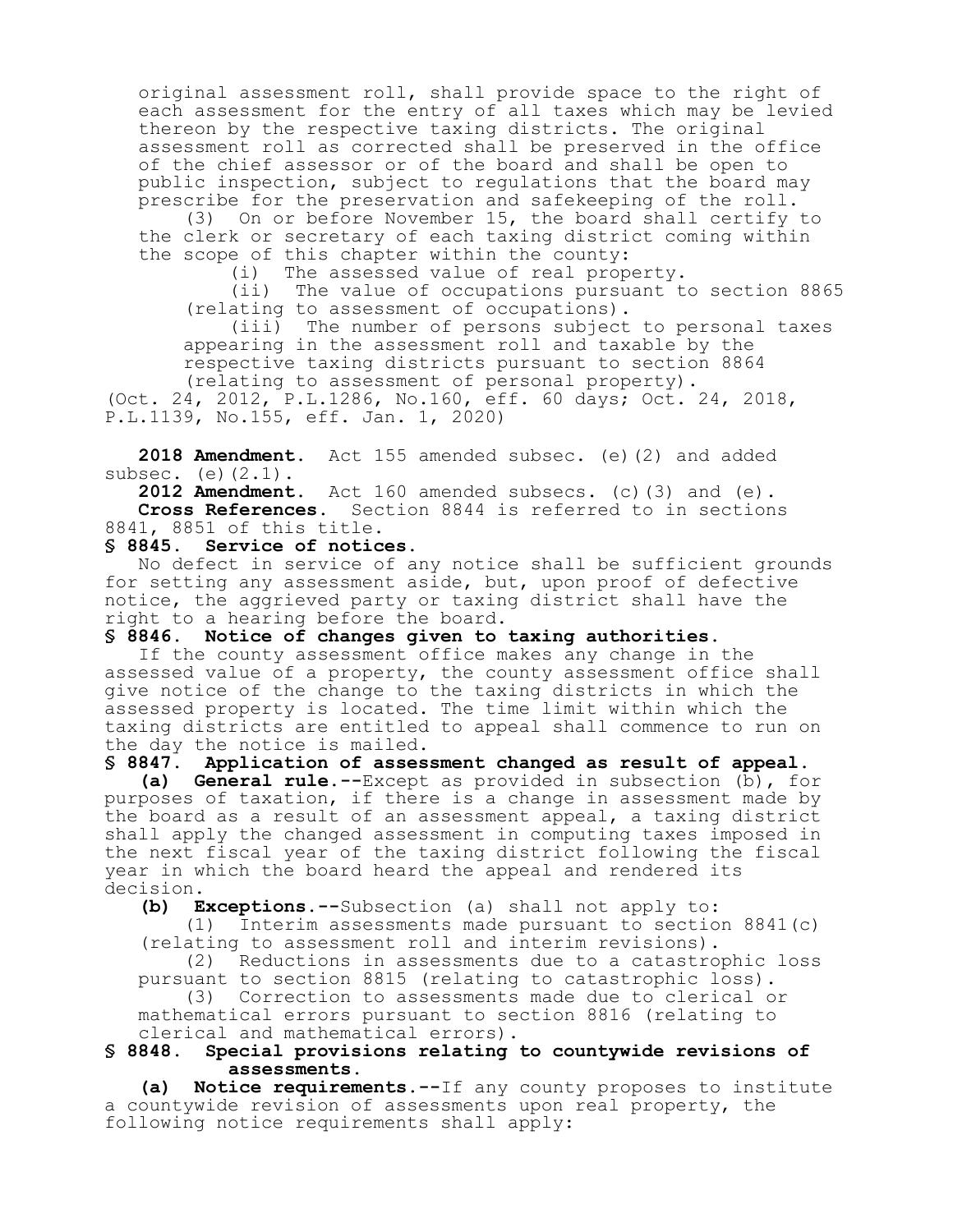original assessment roll, shall provide space to the right of each assessment for the entry of all taxes which may be levied thereon by the respective taxing districts. The original assessment roll as corrected shall be preserved in the office of the chief assessor or of the board and shall be open to public inspection, subject to regulations that the board may prescribe for the preservation and safekeeping of the roll.

(3) On or before November 15, the board shall certify to the clerk or secretary of each taxing district coming within the scope of this chapter within the county:

(i) The assessed value of real property.

(ii) The value of occupations pursuant to section 8865 (relating to assessment of occupations).

(iii) The number of persons subject to personal taxes appearing in the assessment roll and taxable by the respective taxing districts pursuant to section 8864 (relating to assessment of personal property). (Oct. 24, 2012, P.L.1286, No.160, eff. 60 days; Oct. 24, 2018,

P.L.1139, No.155, eff. Jan. 1, 2020)

**2018 Amendment.** Act 155 amended subsec. (e)(2) and added subsec.  $(e)(2.1)$ .

**2012 Amendment.** Act 160 amended subsecs. (c)(3) and (e). **Cross References.** Section 8844 is referred to in sections 8841, 8851 of this title.<br>\$ 8845. Service of notic

#### Service of notices.

No defect in service of any notice shall be sufficient grounds for setting any assessment aside, but, upon proof of defective notice, the aggrieved party or taxing district shall have the right to a hearing before the board.

**§ 8846. Notice of changes given to taxing authorities.**

If the county assessment office makes any change in the assessed value of a property, the county assessment office shall give notice of the change to the taxing districts in which the assessed property is located. The time limit within which the taxing districts are entitled to appeal shall commence to run on the day the notice is mailed.

**§ 8847. Application of assessment changed as result of appeal.**

**(a) General rule.--**Except as provided in subsection (b), for purposes of taxation, if there is a change in assessment made by the board as a result of an assessment appeal, a taxing district shall apply the changed assessment in computing taxes imposed in the next fiscal year of the taxing district following the fiscal year in which the board heard the appeal and rendered its decision.

**(b) Exceptions.--**Subsection (a) shall not apply to:

(1) Interim assessments made pursuant to section 8841(c) (relating to assessment roll and interim revisions).

(2) Reductions in assessments due to a catastrophic loss pursuant to section 8815 (relating to catastrophic loss). (3) Correction to assessments made due to clerical or

mathematical errors pursuant to section 8816 (relating to clerical and mathematical errors).<br>
§ 8848. Special provisions relating

### **§ 8848. Special provisions relating to countywide revisions of assessments.**

**(a) Notice requirements.--**If any county proposes to institute a countywide revision of assessments upon real property, the following notice requirements shall apply: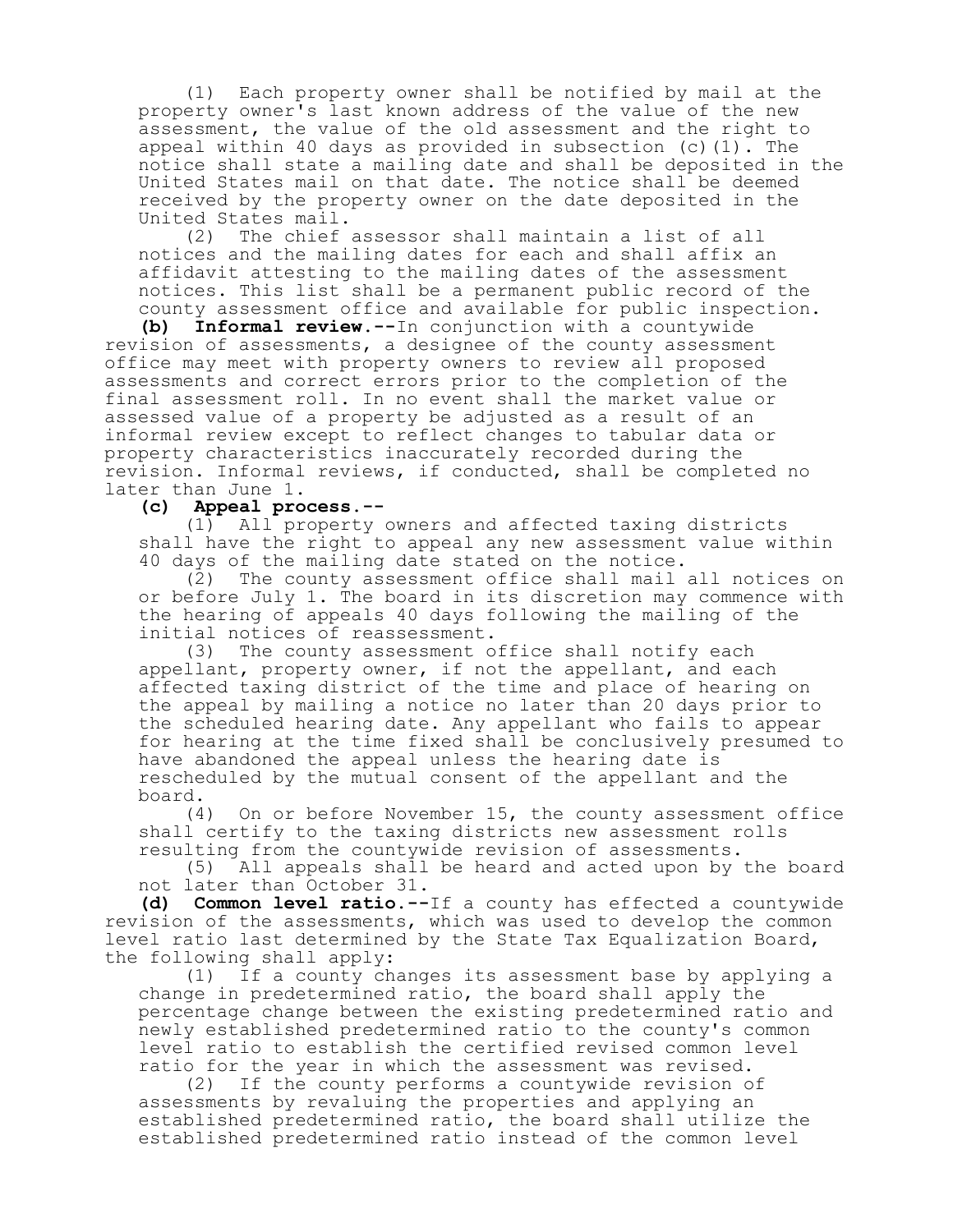(1) Each property owner shall be notified by mail at the property owner's last known address of the value of the new assessment, the value of the old assessment and the right to appeal within 40 days as provided in subsection (c)(1). The notice shall state a mailing date and shall be deposited in the United States mail on that date. The notice shall be deemed received by the property owner on the date deposited in the United States mail.

(2) The chief assessor shall maintain a list of all notices and the mailing dates for each and shall affix an affidavit attesting to the mailing dates of the assessment notices. This list shall be a permanent public record of the county assessment office and available for public inspection.

**(b) Informal review.--**In conjunction with a countywide revision of assessments, a designee of the county assessment office may meet with property owners to review all proposed assessments and correct errors prior to the completion of the final assessment roll. In no event shall the market value or assessed value of a property be adjusted as a result of an informal review except to reflect changes to tabular data or property characteristics inaccurately recorded during the revision. Informal reviews, if conducted, shall be completed no later than June 1.<br>(c) Appeal pro

# **(c) Appeal process.--**

(1) All property owners and affected taxing districts shall have the right to appeal any new assessment value within 40 days of the mailing date stated on the notice.

(2) The county assessment office shall mail all notices on or before July 1. The board in its discretion may commence with the hearing of appeals 40 days following the mailing of the initial notices of reassessment.

(3) The county assessment office shall notify each appellant, property owner, if not the appellant, and each affected taxing district of the time and place of hearing on the appeal by mailing a notice no later than 20 days prior to the scheduled hearing date. Any appellant who fails to appear for hearing at the time fixed shall be conclusively presumed to have abandoned the appeal unless the hearing date is rescheduled by the mutual consent of the appellant and the board.

(4) On or before November 15, the county assessment office shall certify to the taxing districts new assessment rolls resulting from the countywide revision of assessments.

(5) All appeals shall be heard and acted upon by the board not later than October 31.

**(d) Common level ratio.--**If a county has effected a countywide revision of the assessments, which was used to develop the common level ratio last determined by the State Tax Equalization Board, the following shall apply:

(1) If a county changes its assessment base by applying a change in predetermined ratio, the board shall apply the percentage change between the existing predetermined ratio and newly established predetermined ratio to the county's common level ratio to establish the certified revised common level ratio for the year in which the assessment was revised.

(2) If the county performs a countywide revision of assessments by revaluing the properties and applying an established predetermined ratio, the board shall utilize the established predetermined ratio instead of the common level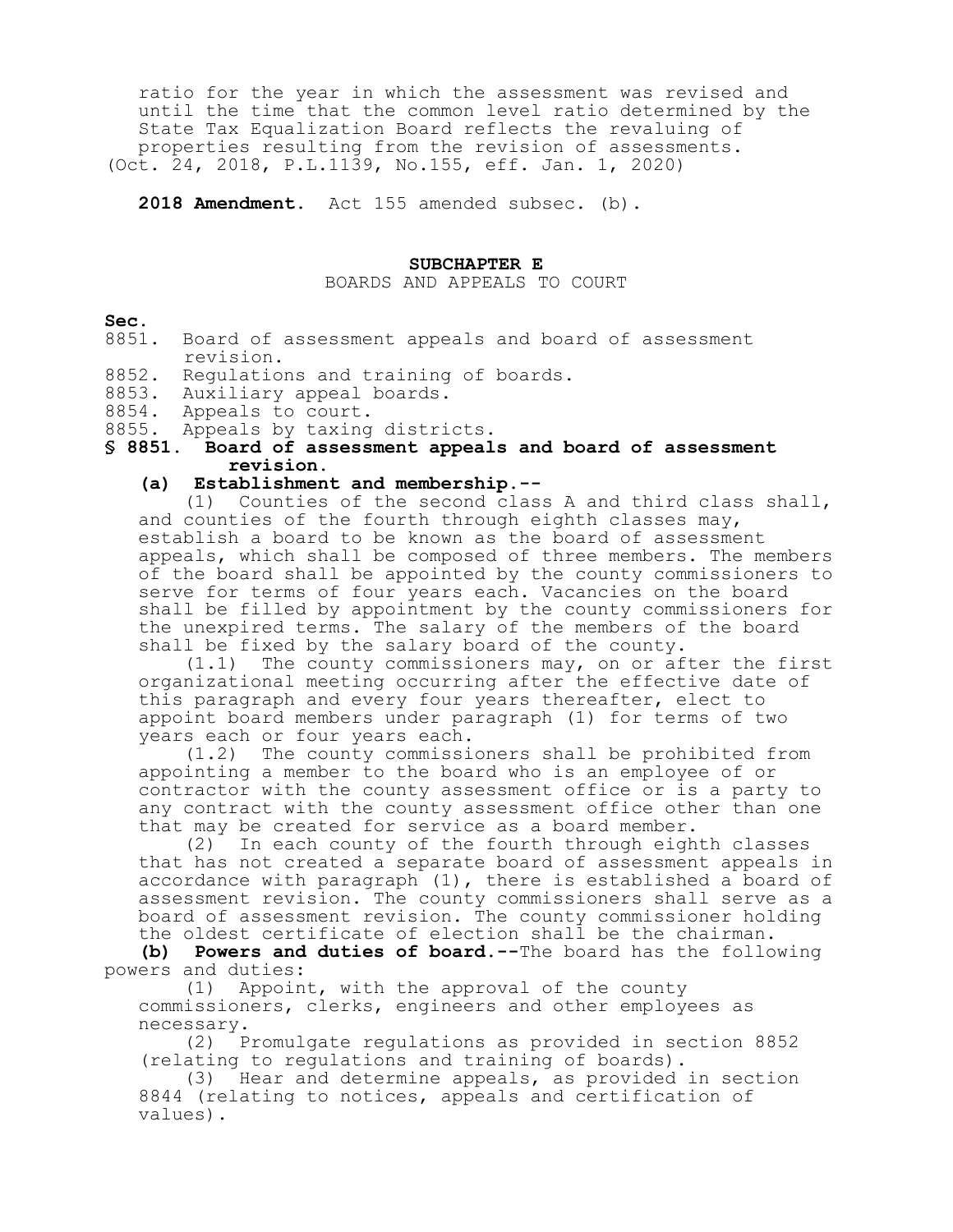ratio for the year in which the assessment was revised and until the time that the common level ratio determined by the State Tax Equalization Board reflects the revaluing of properties resulting from the revision of assessments. (Oct. 24, 2018, P.L.1139, No.155, eff. Jan. 1, 2020)

**2018 Amendment.** Act 155 amended subsec. (b).

#### **SUBCHAPTER E**

BOARDS AND APPEALS TO COURT

#### **Sec.**

- 8851. Board of assessment appeals and board of assessment revision.
- 8852. Regulations and training of boards.
- 8853. Auxiliary appeal boards.
- 8854. Appeals to court.
- 8855. Appeals by taxing districts.

# **§ 8851. Board of assessment appeals and board of assessment revision.**

# **(a) Establishment and membership.--**

(1) Counties of the second class A and third class shall, and counties of the fourth through eighth classes may, establish a board to be known as the board of assessment appeals, which shall be composed of three members. The members of the board shall be appointed by the county commissioners to serve for terms of four years each. Vacancies on the board shall be filled by appointment by the county commissioners for the unexpired terms. The salary of the members of the board shall be fixed by the salary board of the county.

(1.1) The county commissioners may, on or after the first organizational meeting occurring after the effective date of this paragraph and every four years thereafter, elect to appoint board members under paragraph (1) for terms of two years each or four years each.

(1.2) The county commissioners shall be prohibited from appointing a member to the board who is an employee of or contractor with the county assessment office or is a party to any contract with the county assessment office other than one that may be created for service as a board member.

(2) In each county of the fourth through eighth classes that has not created a separate board of assessment appeals in accordance with paragraph (1), there is established a board of assessment revision. The county commissioners shall serve as a board of assessment revision. The county commissioner holding the oldest certificate of election shall be the chairman.

**(b) Powers and duties of board.--**The board has the following powers and duties:

(1) Appoint, with the approval of the county commissioners, clerks, engineers and other employees as necessary.

(2) Promulgate regulations as provided in section 8852 (relating to regulations and training of boards).

(3) Hear and determine appeals, as provided in section 8844 (relating to notices, appeals and certification of values).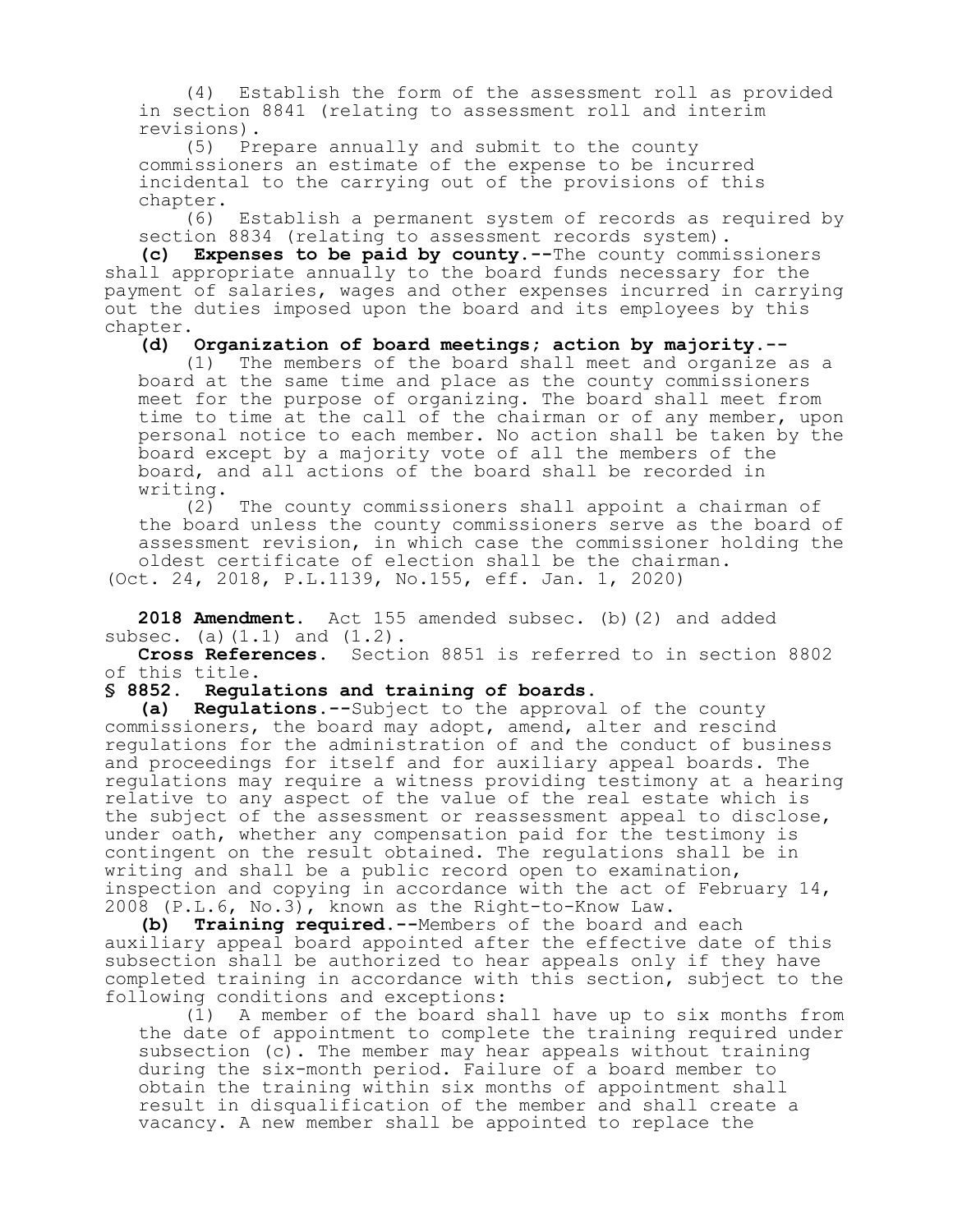(4) Establish the form of the assessment roll as provided in section 8841 (relating to assessment roll and interim revisions).

(5) Prepare annually and submit to the county commissioners an estimate of the expense to be incurred incidental to the carrying out of the provisions of this chapter.

(6) Establish a permanent system of records as required by section 8834 (relating to assessment records system).

**(c) Expenses to be paid by county.--**The county commissioners shall appropriate annually to the board funds necessary for the payment of salaries, wages and other expenses incurred in carrying out the duties imposed upon the board and its employees by this chapter.

**(d) Organization of board meetings; action by majority.--**

(1) The members of the board shall meet and organize as a board at the same time and place as the county commissioners meet for the purpose of organizing. The board shall meet from time to time at the call of the chairman or of any member, upon personal notice to each member. No action shall be taken by the board except by a majority vote of all the members of the board, and all actions of the board shall be recorded in writing.<br> $(2)$ 

The county commissioners shall appoint a chairman of the board unless the county commissioners serve as the board of assessment revision, in which case the commissioner holding the oldest certificate of election shall be the chairman. (Oct. 24, 2018, P.L.1139, No.155, eff. Jan. 1, 2020)

**2018 Amendment.** Act 155 amended subsec. (b)(2) and added subsec. (a) $(1.1)$  and  $(1.2)$ .

**Cross References.** Section 8851 is referred to in section 8802 of this title.

#### **§ 8852. Regulations and training of boards.**

**(a) Regulations.--**Subject to the approval of the county commissioners, the board may adopt, amend, alter and rescind regulations for the administration of and the conduct of business and proceedings for itself and for auxiliary appeal boards. The regulations may require a witness providing testimony at a hearing relative to any aspect of the value of the real estate which is the subject of the assessment or reassessment appeal to disclose, under oath, whether any compensation paid for the testimony is contingent on the result obtained. The regulations shall be in writing and shall be a public record open to examination, inspection and copying in accordance with the act of February 14, 2008 (P.L.6, No.3), known as the Right-to-Know Law.<br>(b) Training required.--Members of the board an

**Training required.--**Members of the board and each auxiliary appeal board appointed after the effective date of this subsection shall be authorized to hear appeals only if they have completed training in accordance with this section, subject to the following conditions and exceptions:

(1) A member of the board shall have up to six months from the date of appointment to complete the training required under subsection (c). The member may hear appeals without training during the six-month period. Failure of a board member to obtain the training within six months of appointment shall result in disqualification of the member and shall create a vacancy. A new member shall be appointed to replace the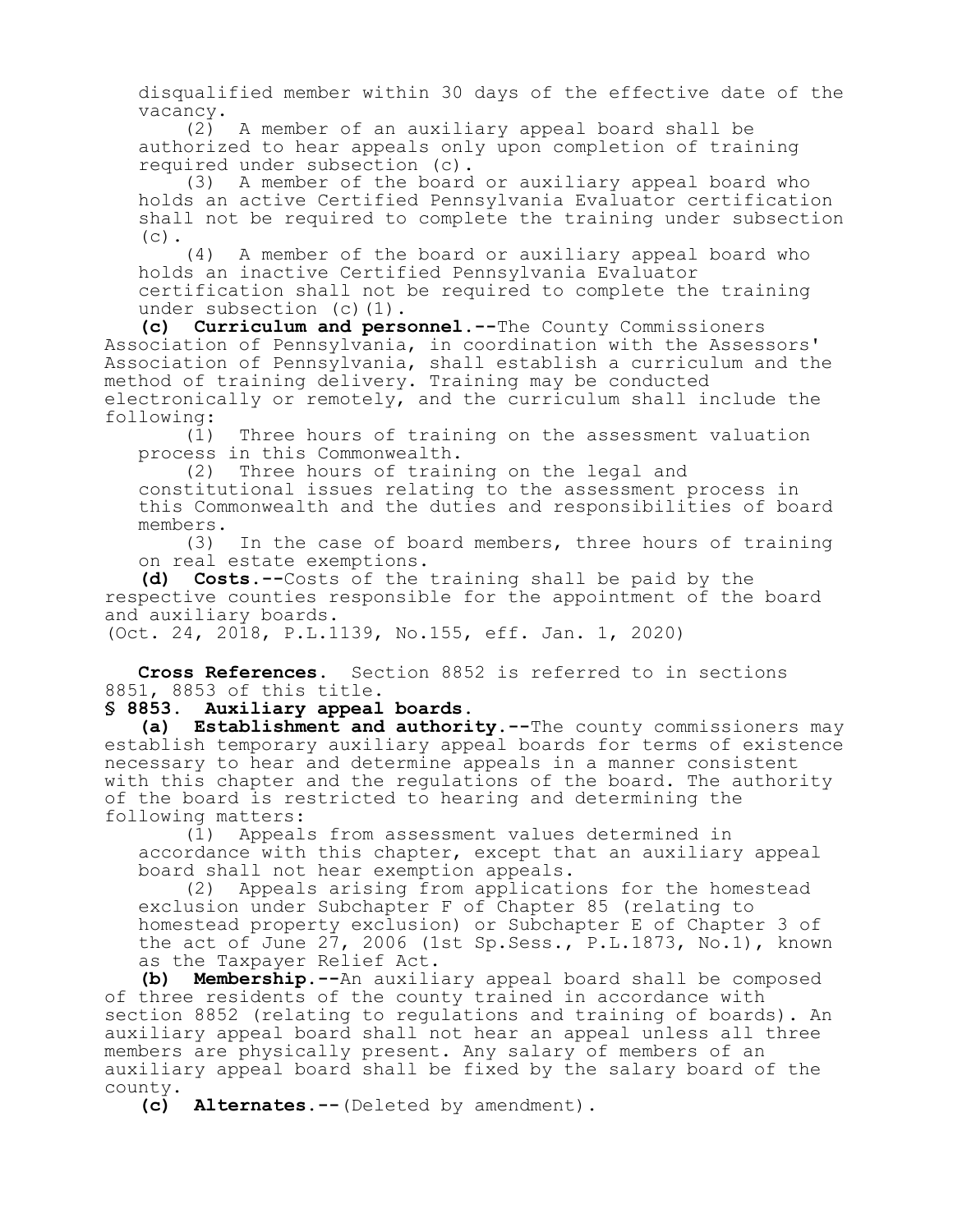disqualified member within 30 days of the effective date of the vacancy.<br>(2)

A member of an auxiliary appeal board shall be authorized to hear appeals only upon completion of training required under subsection (c).

A member of the board or auxiliary appeal board who holds an active Certified Pennsylvania Evaluator certification shall not be required to complete the training under subsection  $(c)$ .

(4) A member of the board or auxiliary appeal board who holds an inactive Certified Pennsylvania Evaluator certification shall not be required to complete the training under subsection (c)(1).

**(c) Curriculum and personnel.--**The County Commissioners Association of Pennsylvania, in coordination with the Assessors' Association of Pennsylvania, shall establish a curriculum and the method of training delivery. Training may be conducted electronically or remotely, and the curriculum shall include the following:

(1) Three hours of training on the assessment valuation process in this Commonwealth.

(2) Three hours of training on the legal and

constitutional issues relating to the assessment process in this Commonwealth and the duties and responsibilities of board members.

(3) In the case of board members, three hours of training on real estate exemptions.

**(d) Costs.--**Costs of the training shall be paid by the respective counties responsible for the appointment of the board and auxiliary boards.

(Oct. 24, 2018, P.L.1139, No.155, eff. Jan. 1, 2020)

**Cross References.** Section 8852 is referred to in sections 8851, 8853 of this title.

#### **§ 8853. Auxiliary appeal boards.**

**(a) Establishment and authority.--**The county commissioners may establish temporary auxiliary appeal boards for terms of existence necessary to hear and determine appeals in a manner consistent with this chapter and the regulations of the board. The authority of the board is restricted to hearing and determining the following matters:

(1) Appeals from assessment values determined in accordance with this chapter, except that an auxiliary appeal board shall not hear exemption appeals.<br>(2) Appeals arising from applicati

Appeals arising from applications for the homestead exclusion under Subchapter F of Chapter 85 (relating to homestead property exclusion) or Subchapter E of Chapter 3 of the act of June  $27$ , 2006 (1st Sp. Sess., P. L. 1873, No. 1), known as the Taxpayer Relief Act.

**(b) Membership.--**An auxiliary appeal board shall be composed of three residents of the county trained in accordance with section 8852 (relating to regulations and training of boards). An auxiliary appeal board shall not hear an appeal unless all three members are physically present. Any salary of members of an auxiliary appeal board shall be fixed by the salary board of the county.

**(c) Alternates.--**(Deleted by amendment).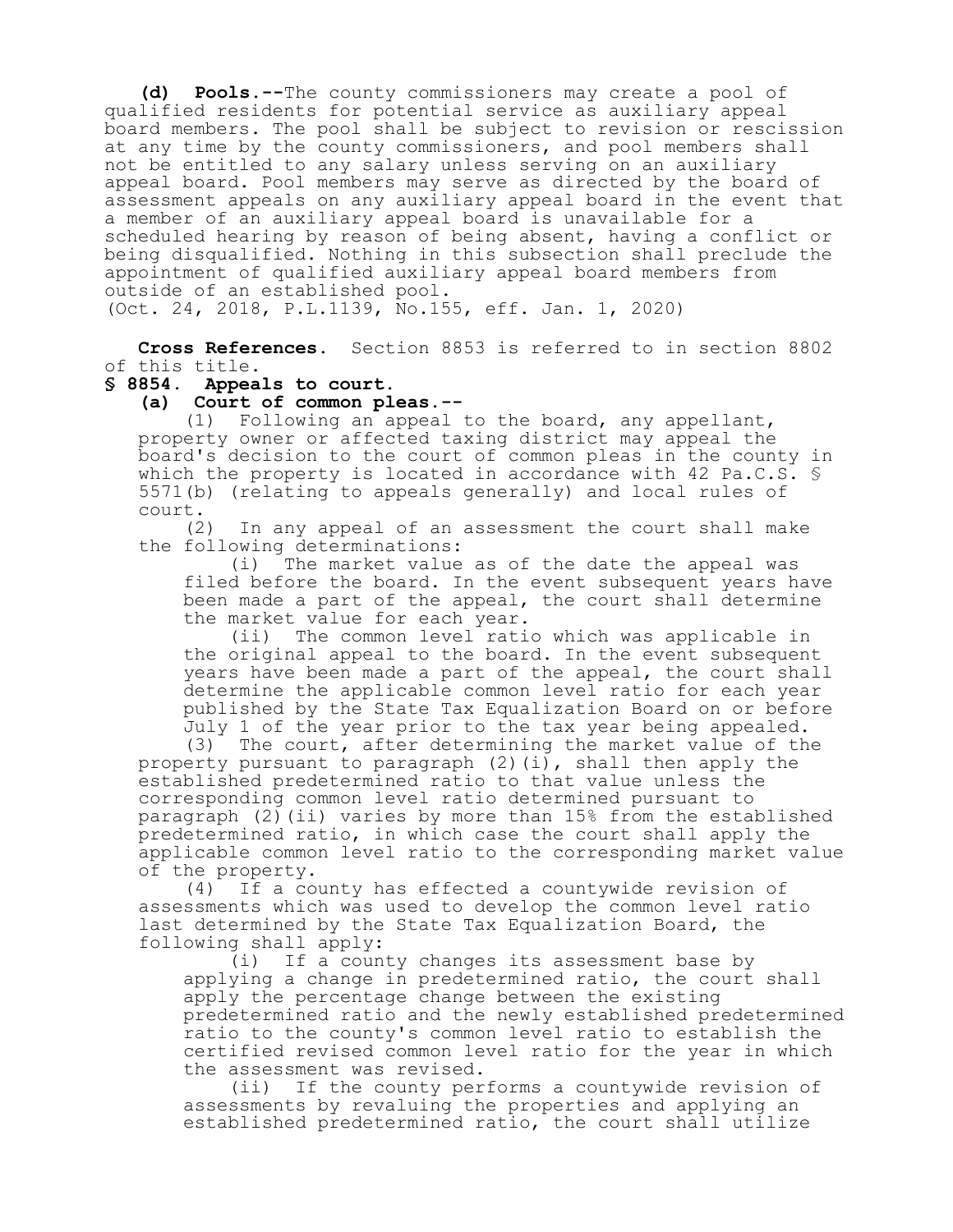**(d) Pools.--**The county commissioners may create a pool of qualified residents for potential service as auxiliary appeal board members. The pool shall be subject to revision or rescission at any time by the county commissioners, and pool members shall not be entitled to any salary unless serving on an auxiliary appeal board. Pool members may serve as directed by the board of assessment appeals on any auxiliary appeal board in the event that a member of an auxiliary appeal board is unavailable for a scheduled hearing by reason of being absent, having a conflict or being disqualified. Nothing in this subsection shall preclude the appointment of qualified auxiliary appeal board members from outside of an established pool. (Oct. 24, 2018, P.L.1139, No.155, eff. Jan. 1, 2020)

**Cross References.** Section 8853 is referred to in section 8802 of this title.

# **§ 8854. Appeals to court.**

**(a) Court of common pleas.--**

Following an appeal to the board, any appellant, property owner or affected taxing district may appeal the board's decision to the court of common pleas in the county in which the property is located in accordance with 42 Pa.C.S. § 5571(b) (relating to appeals generally) and local rules of court.

(2) In any appeal of an assessment the court shall make the following determinations:

(i) The market value as of the date the appeal was filed before the board. In the event subsequent years have been made a part of the appeal, the court shall determine the market value for each year.

(ii) The common level ratio which was applicable in the original appeal to the board. In the event subsequent years have been made a part of the appeal, the court shall determine the applicable common level ratio for each year published by the State Tax Equalization Board on or before July 1 of the year prior to the tax year being appealed.

(3) The court, after determining the market value of the property pursuant to paragraph  $(2)$  (i), shall then apply the established predetermined ratio to that value unless the corresponding common level ratio determined pursuant to paragraph (2)(ii) varies by more than 15% from the established predetermined ratio, in which case the court shall apply the applicable common level ratio to the corresponding market value of the property.<br>(4) If a co

If a county has effected a countywide revision of assessments which was used to develop the common level ratio last determined by the State Tax Equalization Board, the following shall apply:

(i) If a county changes its assessment base by applying a change in predetermined ratio, the court shall apply the percentage change between the existing predetermined ratio and the newly established predetermined ratio to the county's common level ratio to establish the certified revised common level ratio for the year in which the assessment was revised.<br>(ii) If the county per

If the county performs a countywide revision of assessments by revaluing the properties and applying an established predetermined ratio, the court shall utilize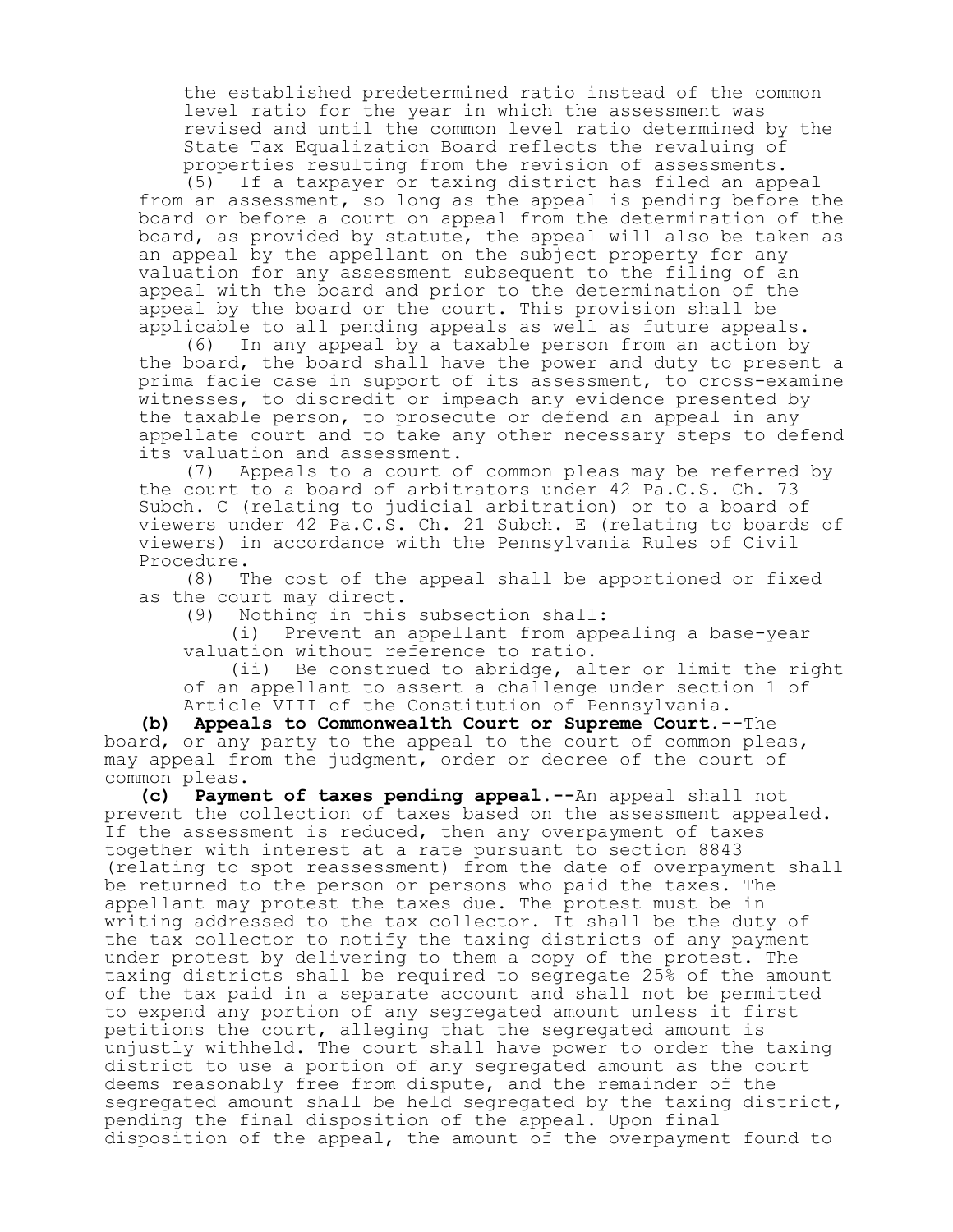the established predetermined ratio instead of the common level ratio for the year in which the assessment was revised and until the common level ratio determined by the State Tax Equalization Board reflects the revaluing of properties resulting from the revision of assessments.<br>(5) If a taxpayer or taxing district has filed an app

If a taxpayer or taxing district has filed an appeal from an assessment, so long as the appeal is pending before the board or before a court on appeal from the determination of the board, as provided by statute, the appeal will also be taken as an appeal by the appellant on the subject property for any valuation for any assessment subsequent to the filing of an appeal with the board and prior to the determination of the appeal by the board or the court. This provision shall be applicable to all pending appeals as well as future appeals.

(6) In any appeal by a taxable person from an action by the board, the board shall have the power and duty to present a prima facie case in support of its assessment, to cross-examine witnesses, to discredit or impeach any evidence presented by the taxable person, to prosecute or defend an appeal in any appellate court and to take any other necessary steps to defend its valuation and assessment.<br>(7) Appeals to a court of

Appeals to a court of common pleas may be referred by the court to a board of arbitrators under 42 Pa.C.S. Ch. 73 Subch. C (relating to judicial arbitration) or to a board of viewers under 42 Pa.C.S. Ch. 21 Subch. E (relating to boards of viewers) in accordance with the Pennsylvania Rules of Civil Procedure.

(8) The cost of the appeal shall be apportioned or fixed as the court may direct.

(9) Nothing in this subsection shall:<br>(i) Prevent an appellant from app

Prevent an appellant from appealing a base-year valuation without reference to ratio.

(ii) Be construed to abridge, alter or limit the right of an appellant to assert a challenge under section 1 of Article VIII of the Constitution of Pennsylvania.

**(b) Appeals to Commonwealth Court or Supreme Court.--**The board, or any party to the appeal to the court of common pleas, may appeal from the judgment, order or decree of the court of common pleas.

**(c) Payment of taxes pending appeal.--**An appeal shall not prevent the collection of taxes based on the assessment appealed. If the assessment is reduced, then any overpayment of taxes together with interest at a rate pursuant to section 8843 (relating to spot reassessment) from the date of overpayment shall be returned to the person or persons who paid the taxes. The appellant may protest the taxes due. The protest must be in writing addressed to the tax collector. It shall be the duty of the tax collector to notify the taxing districts of any payment under protest by delivering to them a copy of the protest. The taxing districts shall be required to segregate 25% of the amount of the tax paid in a separate account and shall not be permitted to expend any portion of any segregated amount unless it first petitions the court, alleging that the segregated amount is unjustly withheld. The court shall have power to order the taxing district to use a portion of any segregated amount as the court deems reasonably free from dispute, and the remainder of the segregated amount shall be held segregated by the taxing district, pending the final disposition of the appeal. Upon final disposition of the appeal, the amount of the overpayment found to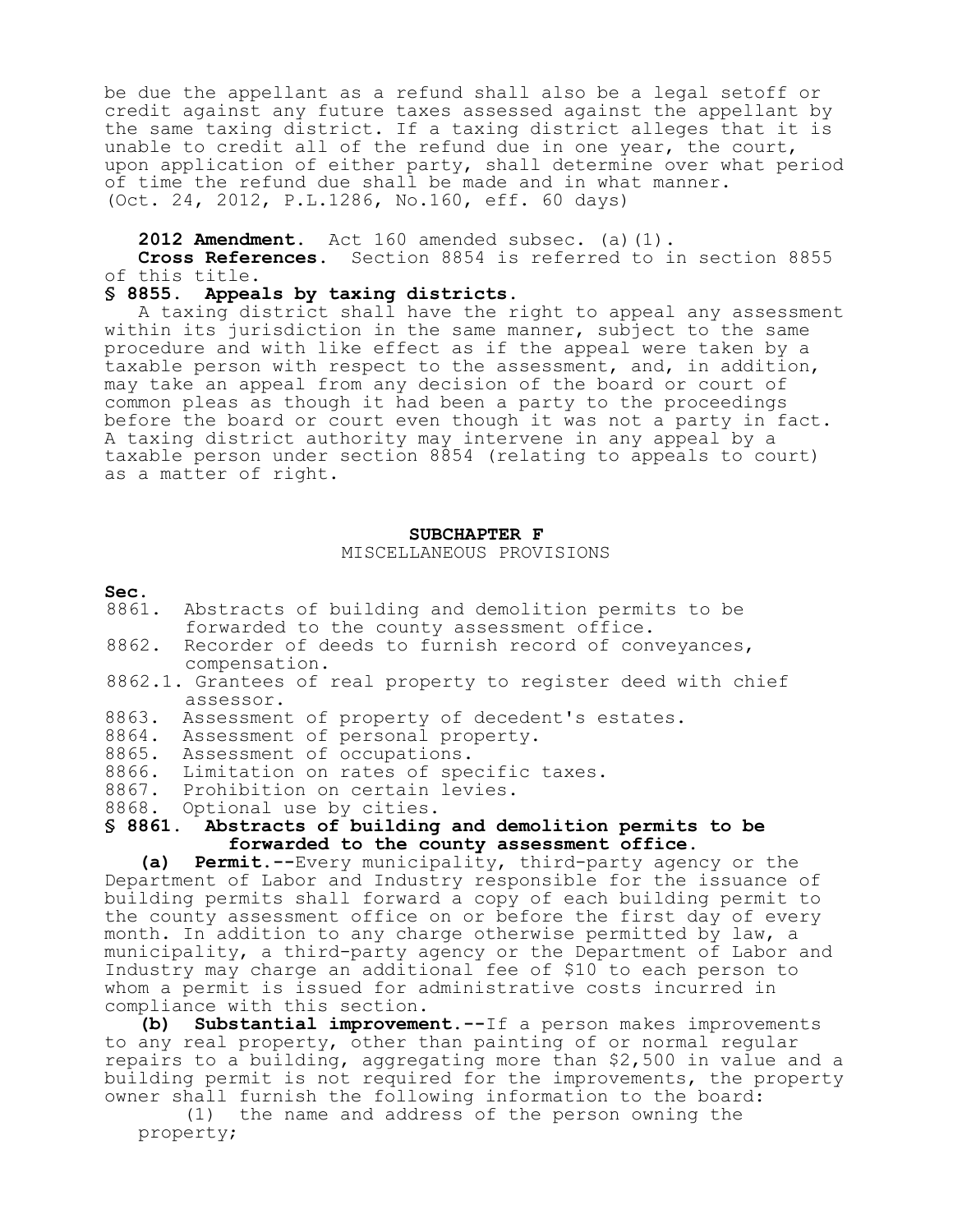be due the appellant as a refund shall also be a legal setoff or credit against any future taxes assessed against the appellant by the same taxing district. If a taxing district alleges that it is unable to credit all of the refund due in one year, the court, upon application of either party, shall determine over what period of time the refund due shall be made and in what manner. (Oct. 24, 2012, P.L.1286, No.160, eff. 60 days)

2012 Amendment. Act 160 amended subsec. (a)(1).

**Cross References.** Section 8854 is referred to in section 8855 of this title.

# **§ 8855. Appeals by taxing districts.**

A taxing district shall have the right to appeal any assessment within its jurisdiction in the same manner, subject to the same procedure and with like effect as if the appeal were taken by a taxable person with respect to the assessment, and, in addition, may take an appeal from any decision of the board or court of common pleas as though it had been a party to the proceedings before the board or court even though it was not a party in fact. A taxing district authority may intervene in any appeal by a taxable person under section 8854 (relating to appeals to court) as a matter of right.

#### **SUBCHAPTER F** MISCELLANEOUS PROVISIONS

- **Sec.**<br>8861. Abstracts of building and demolition permits to be forwarded to the county assessment office.
- 8862. Recorder of deeds to furnish record of conveyances, compensation.
- 8862.1. Grantees of real property to register deed with chief assessor.
- 8863. Assessment of property of decedent's estates.
- 8864. Assessment of personal property.
- 8865. Assessment of occupations.
- 8866. Limitation on rates of specific taxes.
- 8867. Prohibition on certain levies.
- 8868. Optional use by cities.

#### **§ 8861. Abstracts of building and demolition permits to be forwarded to the county assessment office.**

**(a) Permit.--**Every municipality, third-party agency or the Department of Labor and Industry responsible for the issuance of building permits shall forward a copy of each building permit to the county assessment office on or before the first day of every month. In addition to any charge otherwise permitted by law, a municipality, a third-party agency or the Department of Labor and Industry may charge an additional fee of \$10 to each person to whom a permit is issued for administrative costs incurred in compliance with this section.

**(b) Substantial improvement.--**If a person makes improvements to any real property, other than painting of or normal regular repairs to a building, aggregating more than \$2,500 in value and a building permit is not required for the improvements, the property owner shall furnish the following information to the board:

(1) the name and address of the person owning the property;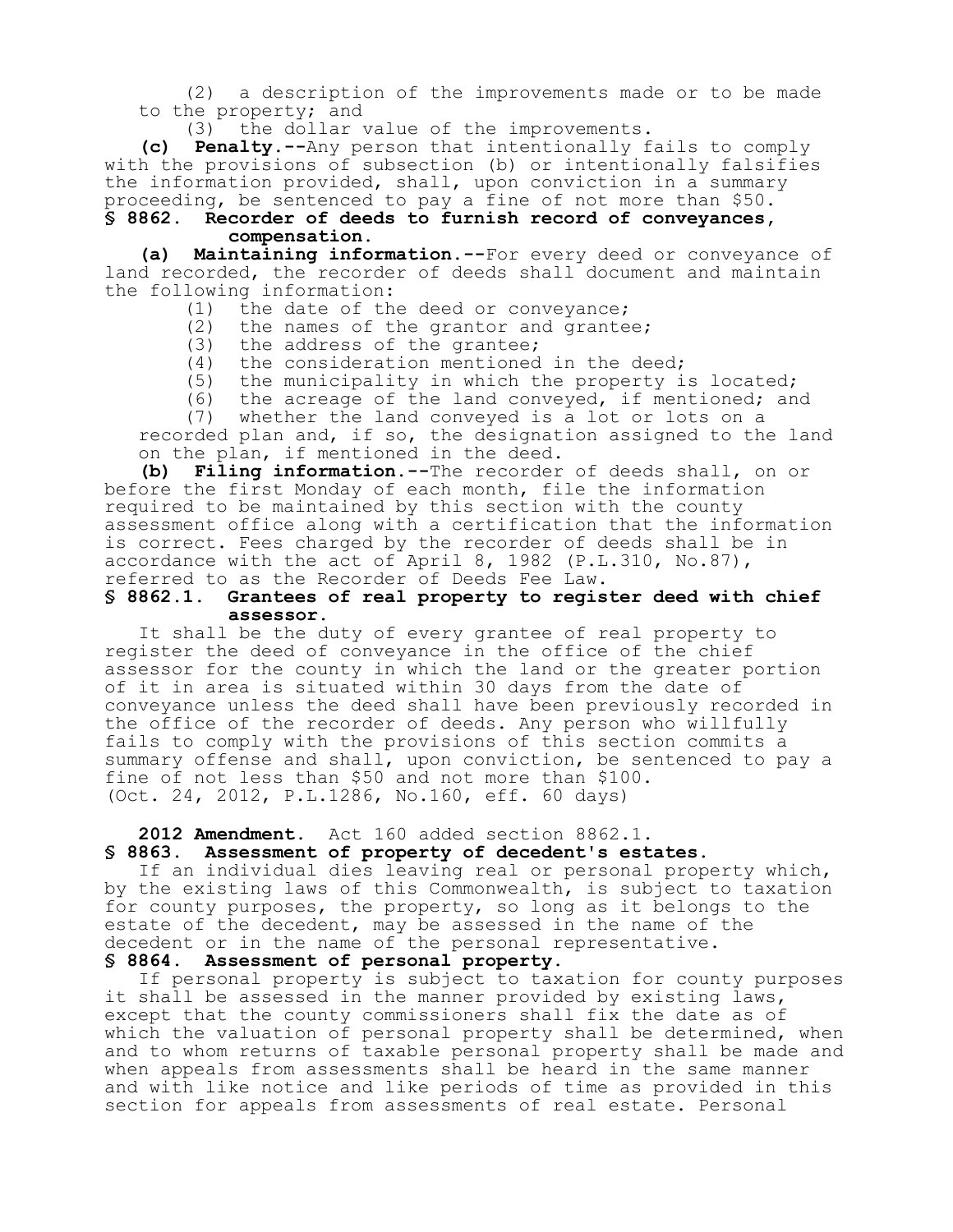(2) a description of the improvements made or to be made to the property; and

(3) the dollar value of the improvements.

**(c) Penalty.--**Any person that intentionally fails to comply with the provisions of subsection (b) or intentionally falsifies the information provided, shall, upon conviction in a summary proceeding, be sentenced to pay a fine of not more than \$50.

**§ 8862. Recorder of deeds to furnish record of conveyances, compensation.**

**(a) Maintaining information.--**For every deed or conveyance of land recorded, the recorder of deeds shall document and maintain the following information:<br>(1) the date of th

(1) the date of the deed or conveyance;<br>(2) the names of the grantor and grante

(2) the names of the grantor and grantee;<br>(3) the address of the grantee;

- the address of the grantee;
- (4) the consideration mentioned in the deed;
- (5) the municipality in which the property is located;
- (6) the acreage of the land conveyed, if mentioned; and

(7) whether the land conveyed is a lot or lots on a

recorded plan and, if so, the designation assigned to the land on the plan, if mentioned in the deed.

**(b) Filing information.--**The recorder of deeds shall, on or before the first Monday of each month, file the information required to be maintained by this section with the county assessment office along with a certification that the information is correct. Fees charged by the recorder of deeds shall be in accordance with the act of April 8, 1982 (P.L.310, No.87), referred to as the Recorder of Deeds Fee Law.<br>§ 8862.1. Grantees of real property to regis

#### **§ 8862.1. Grantees of real property to register deed with chief assessor.**

It shall be the duty of every grantee of real property to register the deed of conveyance in the office of the chief assessor for the county in which the land or the greater portion of it in area is situated within 30 days from the date of conveyance unless the deed shall have been previously recorded in the office of the recorder of deeds. Any person who willfully fails to comply with the provisions of this section commits a summary offense and shall, upon conviction, be sentenced to pay a fine of not less than \$50 and not more than \$100. (Oct. 24, 2012, P.L.1286, No.160, eff. 60 days)

2012 Amendment. Act 160 added section 8862.1.<br>§ 8863. Assessment of property of decedent's est

# **§ 8863. Assessment of property of decedent's estates.**

If an individual dies leaving real or personal property which, by the existing laws of this Commonwealth, is subject to taxation for county purposes, the property, so long as it belongs to the estate of the decedent, may be assessed in the name of the decedent or in the name of the personal representative. **§ 8864. Assessment of personal property.**

If personal property is subject to taxation for county purposes it shall be assessed in the manner provided by existing laws, except that the county commissioners shall fix the date as of which the valuation of personal property shall be determined, when and to whom returns of taxable personal property shall be made and when appeals from assessments shall be heard in the same manner and with like notice and like periods of time as provided in this section for appeals from assessments of real estate. Personal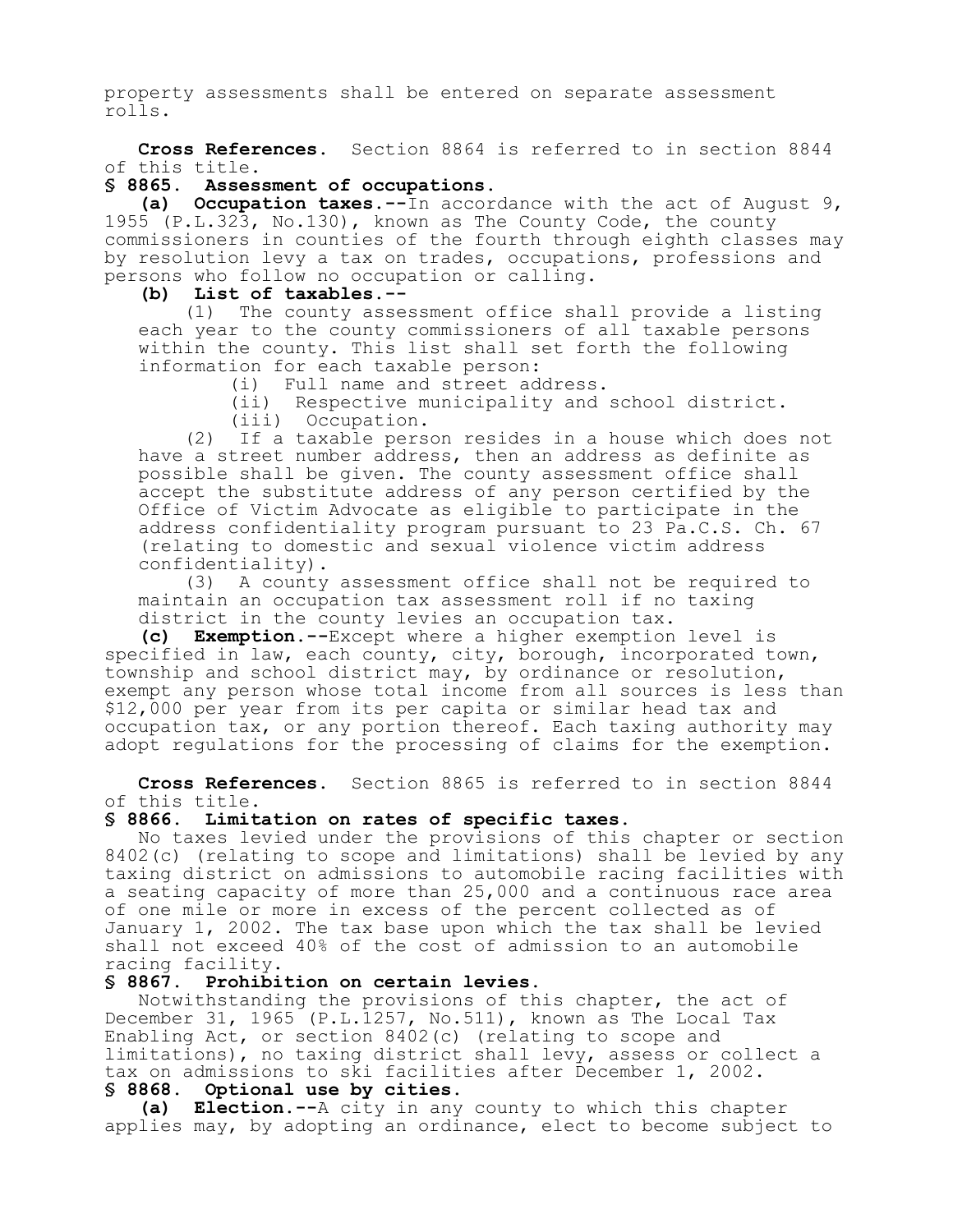property assessments shall be entered on separate assessment rolls.

**Cross References.** Section 8864 is referred to in section 8844 of this title.

# **§ 8865. Assessment of occupations.**

**(a) Occupation taxes.--**In accordance with the act of August 9, 1955 (P.L.323, No.130), known as The County Code, the county commissioners in counties of the fourth through eighth classes may by resolution levy a tax on trades, occupations, professions and persons who follow no occupation or calling.

#### **(b) List of taxables.--**

(1) The county assessment office shall provide a listing each year to the county commissioners of all taxable persons within the county. This list shall set forth the following information for each taxable person:

Full name and street address.

(ii) Respective municipality and school district.

(iii) Occupation.

(2) If a taxable person resides in a house which does not have a street number address, then an address as definite as possible shall be given. The county assessment office shall accept the substitute address of any person certified by the Office of Victim Advocate as eligible to participate in the address confidentiality program pursuant to 23 Pa.C.S. Ch. 67 (relating to domestic and sexual violence victim address confidentiality).

(3) A county assessment office shall not be required to maintain an occupation tax assessment roll if no taxing district in the county levies an occupation tax.

**(c) Exemption.--**Except where a higher exemption level is specified in law, each county, city, borough, incorporated town, township and school district may, by ordinance or resolution, exempt any person whose total income from all sources is less than \$12,000 per year from its per capita or similar head tax and occupation tax, or any portion thereof. Each taxing authority may adopt regulations for the processing of claims for the exemption.

**Cross References.** Section 8865 is referred to in section 8844 of this title.

# **§ 8866. Limitation on rates of specific taxes.**

No taxes levied under the provisions of this chapter or section 8402(c) (relating to scope and limitations) shall be levied by any taxing district on admissions to automobile racing facilities with a seating capacity of more than 25,000 and a continuous race area of one mile or more in excess of the percent collected as of January 1, 2002. The tax base upon which the tax shall be levied shall not exceed 40% of the cost of admission to an automobile racing facility.

#### **§ 8867. Prohibition on certain levies.**

Notwithstanding the provisions of this chapter, the act of December 31, 1965 (P.L.1257, No.511), known as The Local Tax Enabling Act, or section 8402(c) (relating to scope and limitations), no taxing district shall levy, assess or collect a tax on admissions to ski facilities after December 1, 2002. **§ 8868. Optional use by cities.**

**(a) Election.--**A city in any county to which this chapter applies may, by adopting an ordinance, elect to become subject to